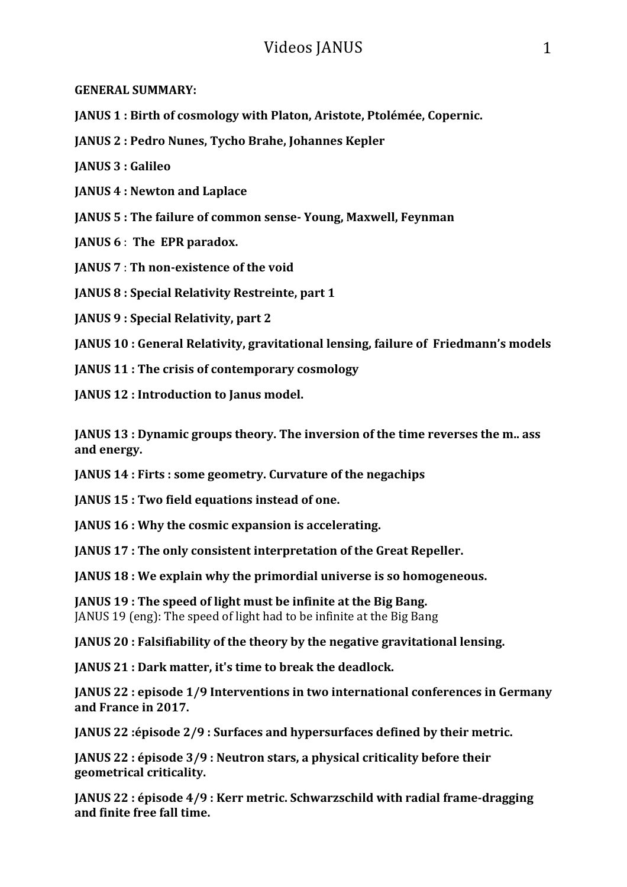**GENERAL SUMMARY:**

**JANUS 1 : Birth of cosmology with Platon, Aristote, Ptolémée, Copernic.** 

**JANUS 2** : Pedro Nunes, Tycho Brahe, Johannes Kepler

**JANUS 3 : Galileo**

**JANUS 4 : Newton and Laplace**

**JANUS 5: The failure of common sense-Young, Maxwell, Feynman** 

**JANUS 6** : The EPR paradox.

**JANUS 7** : Th non-existence of the void

**JANUS 8** : Special Relativity Restreinte, part 1

**JANUS 9 : Special Relativity, part 2**

**JANUS 10**: General Relativity, gravitational lensing, failure of Friedmann's models

**IANUS 11: The crisis of contemporary cosmology** 

**JANUS 12 : Introduction to Janus model.** 

**JANUS 13**: Dynamic groups theory. The inversion of the time reverses the m., ass and energy.

**JANUS 14** : Firts : some geometry. Curvature of the negachips

**JANUS 15** : Two field equations instead of one.

**JANUS 16 : Why the cosmic expansion is accelerating.** 

**JANUS 17: The only consistent interpretation of the Great Repeller.** 

**JANUS 18 :** We explain why the primordial universe is so homogeneous.

**JANUS 19: The speed of light must be infinite at the Big Bang.** JANUS 19 (eng): The speed of light had to be infinite at the Big Bang

**JANUS 20** : Falsifiability of the theory by the negative gravitational lensing.

**JANUS 21 : Dark matter, it's time to break the deadlock.** 

**JANUS 22** : episode 1/9 Interventions in two international conferences in Germany **and France in 2017.**

**JANUS 22** :épisode 2/9 : Surfaces and hypersurfaces defined by their metric.

**JANUS 22** : épisode 3/9 : Neutron stars, a physical criticality before their **geometrical criticality.** 

**JANUS 22** : épisode 4/9 : Kerr metric. Schwarzschild with radial frame-dragging **and finite free fall time.**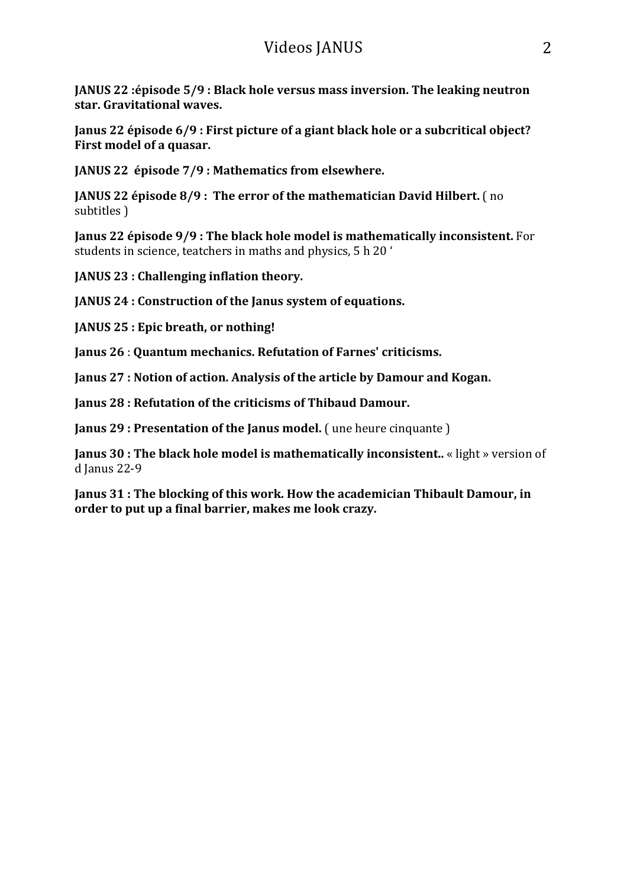**JANUS 22** :épisode 5/9 **:** Black hole versus mass inversion. The leaking neutron star. Gravitational waves.

**Janus 22 épisode 6/9 : First picture of a giant black hole or a subcritical object? First model of a quasar.** 

**JANUS 22 épisode 7/9 : Mathematics from elsewhere.** 

**JANUS 22 épisode 8/9: The error of the mathematician David Hilbert.** (no subtitles )

**Janus 22 épisode 9/9 : The black hole model is mathematically inconsistent.** For students in science, teatchers in maths and physics, 5 h 20 '

**JANUS 23** : Challenging inflation theory.

**JANUS 24** : Construction of the Janus system of equations.

**JANUS 25** : Epic breath, or nothing!

**Janus 26 : Ouantum mechanics. Refutation of Farnes' criticisms.** 

**Janus 27 : Notion of action. Analysis of the article by Damour and Kogan.** 

**Janus 28 : Refutation of the criticisms of Thibaud Damour.** 

**Janus 29 : Presentation of the Janus model.** ( une heure cinquante )

**Janus 30** : The black hole model is mathematically inconsistent.. « light » version of d Janus 22-9

**Janus 31** : The blocking of this work. How the academician Thibault Damour, in order to put up a final barrier, makes me look crazy.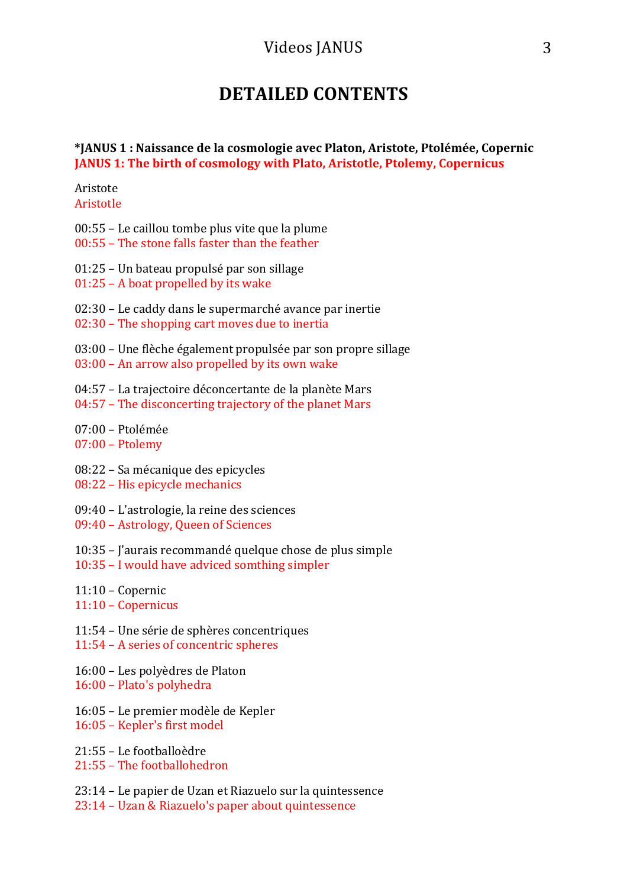## **DETAILED CONTENTS**

#### **\*JANUS 1 : Naissance de la cosmologie avec Platon, Aristote, Ptolémée, Copernic JANUS 1: The birth of cosmology with Plato, Aristotle, Ptolemy, Copernicus**

Aristote Aristotle

- $00:55$  Le caillou tombe plus vite que la plume  $00:55$  – The stone falls faster than the feather
- 
- 01:25 Un bateau propulsé par son sillage
- $01:25$  A boat propelled by its wake
- 02:30 Le caddy dans le supermarché avance par inertie
- 02:30 The shopping cart moves due to inertia
- $03:00$  Une flèche également propulsée par son propre sillage
- $03:00$  An arrow also propelled by its own wake
- 04:57 La trajectoire déconcertante de la planète Mars
- $04:57$  The disconcerting trajectory of the planet Mars
- $07:00 \text{Ptolémée}$
- $07:00$  Ptolemy
- 08:22 Sa mécanique des epicycles
- 08:22 His epicycle mechanics
- 09:40 L'astrologie, la reine des sciences
- 09:40 Astrology, Queen of Sciences
- 10:35 J'aurais recommandé quelque chose de plus simple
- 10:35 I would have adviced somthing simpler
- $11:10$  Copernic
- 11:10 – Copernicus
- 11:54 – Une série de sphères concentriques
- 11:54 A series of concentric spheres
- 16:00 Les polyèdres de Platon
- 16:00 Plato's polyhedra
- 16:05 Le premier modèle de Kepler
- 16:05 Kepler's first model

21:55 – Le footballoèdre 21:55 - The footballohedron

- 23:14 Le papier de Uzan et Riazuelo sur la quintessence
- 23:14 Uzan & Riazuelo's paper about quintessence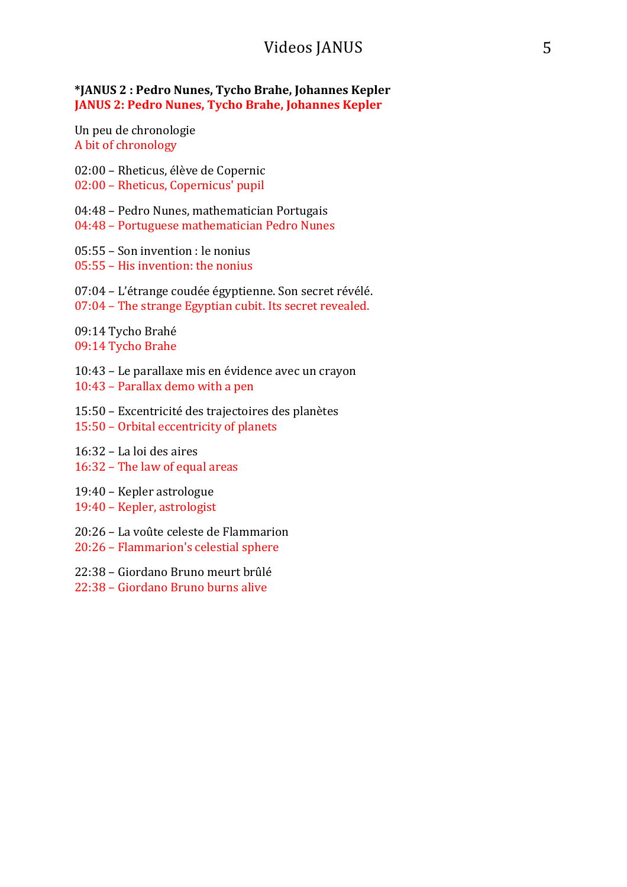**\*JANUS 2 : Pedro Nunes, Tycho Brahe, Johannes Kepler JANUS 2: Pedro Nunes, Tycho Brahe, Johannes Kepler** 

Un peu de chronologie A bit of chronology

02:00 – Rheticus, élève de Copernic 02:00 - Rheticus, Copernicus' pupil

04:48 - Pedro Nunes, mathematician Portugais

04:48 - Portuguese mathematician Pedro Nunes

 $05:55 -$  Son invention : le nonius

05:55 - His invention: the nonius

 $07:04$  – L'étrange coudée égyptienne. Son secret révélé.  $07:04$  – The strange Egyptian cubit. Its secret revealed.

09:14 Tycho Brahé 09:14 Tycho Brahe

10:43 – Le parallaxe mis en évidence avec un crayon  $10:43$  – Parallax demo with a pen

15:50 – Excentricité des trajectoires des planètes 15:50 - Orbital eccentricity of planets

- $16:32 -$ La loi des aires  $16:32$  – The law of equal areas
- 19:40 Kepler astrologue

19:40 – Kepler, astrologist

20:26 – La voûte celeste de Flammarion

20:26 - Flammarion's celestial sphere

22:38 – Giordano Bruno meurt brûlé

22:38 – Giordano Bruno burns alive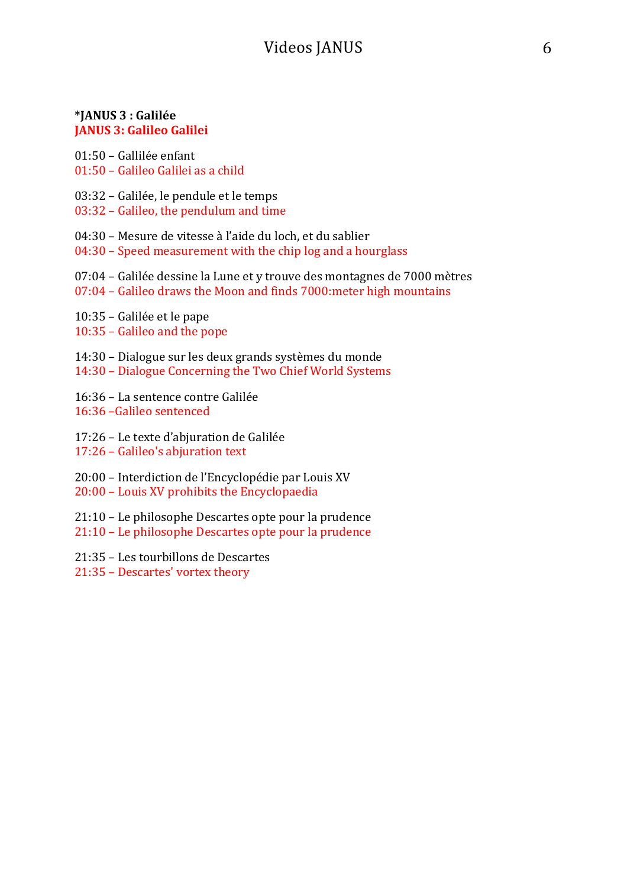#### **\*JANUS 3 : Galilée JANUS 3: Galileo Galilei**

01:50 – Gallilée enfant 01:50 – Galileo Galilei as a child

- 03:32 Galilée, le pendule et le temps
- $03:32$  Galileo, the pendulum and time

04:30 – Mesure de vitesse à l'aide du loch, et du sablier

- $04:30$  Speed measurement with the chip  $log$  and a hourglass
- 07:04 Galilée dessine la Lune et y trouve des montagnes de 7000 mètres
- $07:04$  Galileo draws the Moon and finds  $7000$ :meter high mountains
- 10:35 Galilée et le pape
- $10:35$  Galileo and the pope
- 14:30 Dialogue sur les deux grands systèmes du monde
- 14:30 Dialogue Concerning the Two Chief World Systems
- 16:36 La sentence contre Galilée 16:36 –Galileo sentenced
- 17:26 Le texte d'abjuration de Galilée
- 17:26 Galileo's abjuration text
- 20:00 Interdiction de l'Encyclopédie par Louis XV
- $20:00$  Louis XV prohibits the Encyclopaedia
- $21:10$  Le philosophe Descartes opte pour la prudence
- 21:10 Le philosophe Descartes opte pour la prudence
- 21:35 Les tourbillons de Descartes
- 21:35 Descartes' vortex theory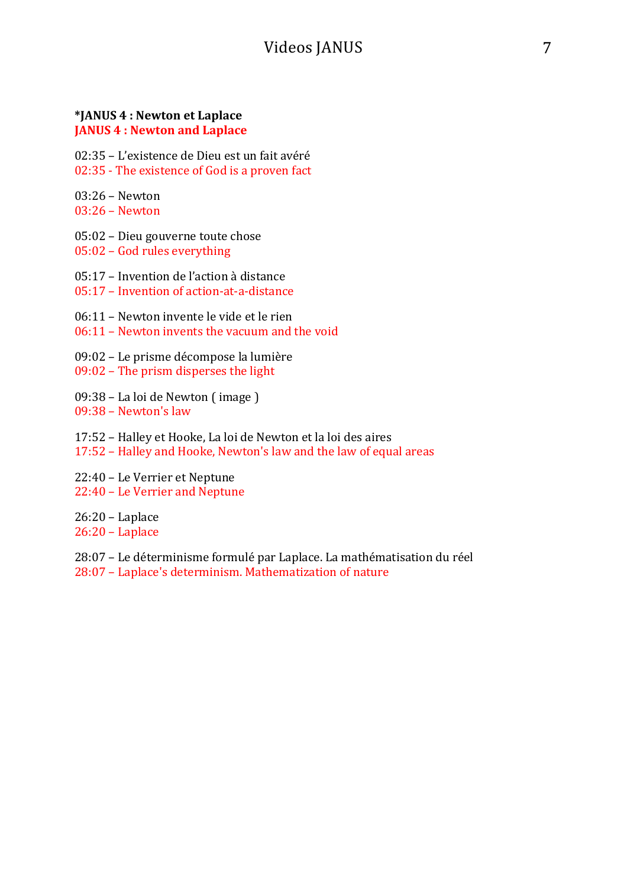#### **\*JANUS 4 : Newton et Laplace JANUS 4: Newton and Laplace**

02:35 - L'existence de Dieu est un fait avéré 02:35 - The existence of God is a proven fact

03:26 – Newton 

 $03:26$  – Newton

05:02 – Dieu gouverne toute chose

05:02 - God rules everything

05:17 – Invention de l'action à distance

 $05:17$  – Invention of action-at-a-distance

 $06:11$  – Newton invente le vide et le rien

 $06:11$  – Newton invents the vacuum and the void

09:02 – Le prisme décompose la lumière  $09:02$  – The prism disperses the light

09:38 – La loi de Newton (image) 09:38 - Newton's law

17:52 – Halley et Hooke, La loi de Newton et la loi des aires 17:52 - Halley and Hooke, Newton's law and the law of equal areas

22:40 – Le Verrier et Neptune 22:40 - Le Verrier and Neptune

26:20 – Laplace

26:20 – Laplace

28:07 – Le déterminisme formulé par Laplace. La mathématisation du réel 28:07 - Laplace's determinism. Mathematization of nature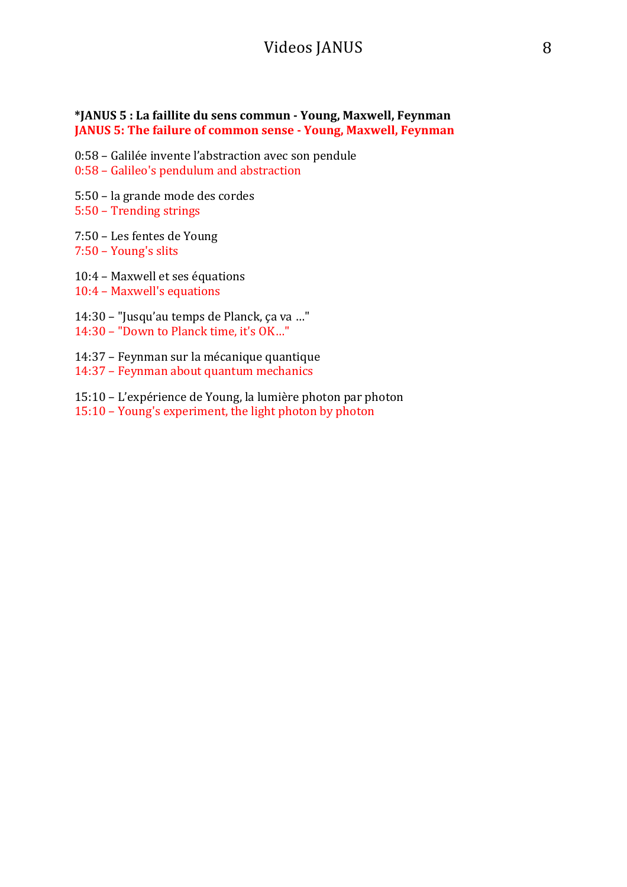#### **\*JANUS 5 : La faillite du sens commun - Young, Maxwell, Feynman JANUS 5: The failure of common sense - Young, Maxwell, Feynman**

- $0:58$  Galilée invente l'abstraction avec son pendule
- 0:58 Galileo's pendulum and abstraction
- 5:50 la grande mode des cordes
- 5:50 Trending strings
- 7:50 Les fentes de Young 7:50 - Young's slits
- 10:4 Maxwell et ses équations
- 10:4 Maxwell's equations
- 14:30 "Jusqu'au temps de Planck, ça va ..."
- 14:30 "Down to Planck time, it's OK..."
- 14:37 Feynman sur la mécanique quantique 14:37 - Feynman about quantum mechanics
- 15:10 L'expérience de Young, la lumière photon par photon
- 15:10 Young's experiment, the light photon by photon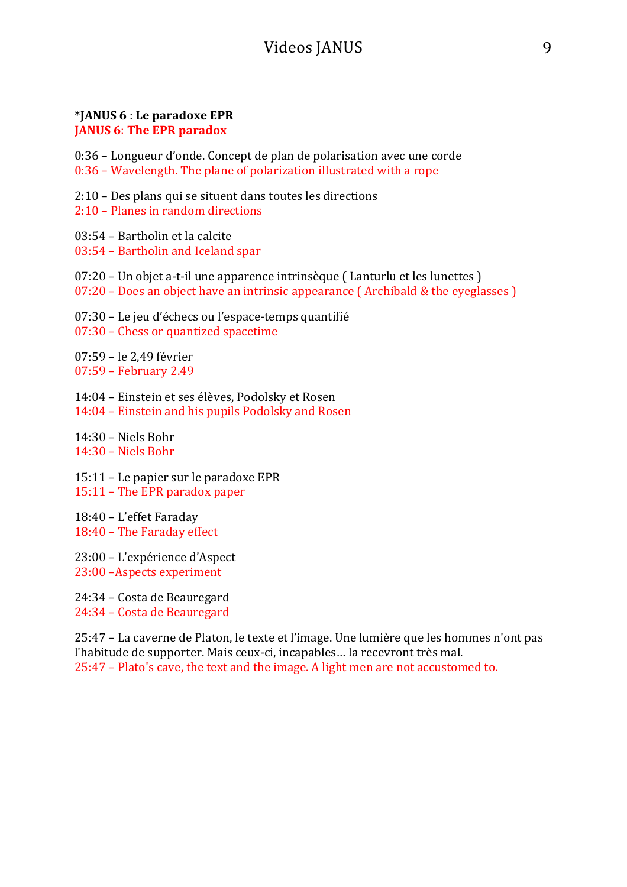#### **\*JANUS 6** : **Le paradoxe EPR JANUS 6: The EPR paradox**

0:36 – Longueur d'onde. Concept de plan de polarisation avec une corde  $0:36$  – Wavelength. The plane of polarization illustrated with a rope

2:10 – Des plans qui se situent dans toutes les directions

 $2:10$  – Planes in random directions

 $03:54$  – Bartholin et la calcite

03:54 - Bartholin and Iceland spar

- $07:20$  Un objet a-t-il une apparence intrinsèque (Lanturlu et les lunettes)
- $07:20$  Does an object have an intrinsic appearance (Archibald & the eyeglasses )

07:30 – Le jeu d'échecs ou l'espace-temps quantifié

07:30 – Chess or quantized spacetime

07:59 – le 2,49 février 07:59 – February 2.49

14:04 – Einstein et ses élèves, Podolsky et Rosen 14:04 – Einstein and his pupils Podolsky and Rosen

14:30 – Niels Bohr  $14:30 -$  Niels Bohr

 $15:11$  – Le papier sur le paradoxe EPR 15:11 - The EPR paradox paper

18:40 – L'effet Faraday 18:40 - The Faraday effect

23:00 – L'expérience d'Aspect 23:00 - Aspects experiment

24:34 – Costa de Beauregard 24:34 - Costa de Beauregard

25:47 – La caverne de Platon, le texte et l'image. Une lumière que les hommes n'ont pas l'habitude de supporter. Mais ceux-ci, incapables... la recevront très mal.  $25:47$  – Plato's cave, the text and the image. A light men are not accustomed to.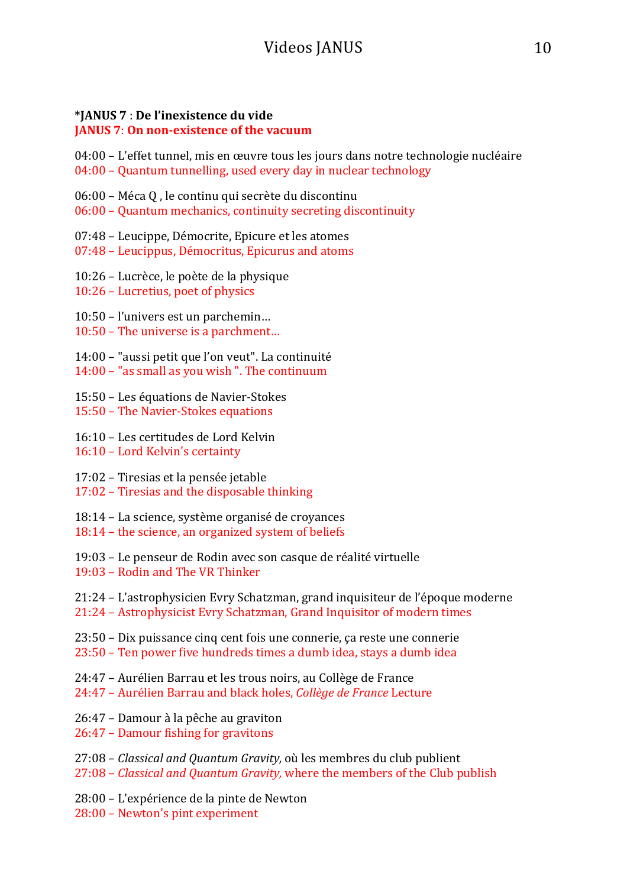### **\*JANUS 7** : **De l'inexistence du vide**

#### **JANUS 7: On non-existence of the vacuum**

 $04:00$  – L'effet tunnel, mis en œuvre tous les jours dans notre technologie nucléaire  $04:00$  – Quantum tunnelling, used every day in nuclear technology

- 06:00 Méca Q, le continu qui secrète du discontinu
- $06:00$  Quantum mechanics, continuity secreting discontinuity
- 07:48 Leucippe, Démocrite, Epicure et les atomes
- 07:48 Leucippus, Démocritus, Epicurus and atoms
- 10:26 Lucrèce, le poète de la physique
- $10:26$  Lucretius, poet of physics
- 10:50 l'univers est un parchemin...
- $10:50$  The universe is a parchment...
- 14:00 "aussi petit que l'on veut". La continuité
- $14:00 -$ " as small as you wish". The continuum
- 15:50 Les équations de Navier-Stokes
- 15:50 The Navier-Stokes equations
- 16:10 Les certitudes de Lord Kelvin
- 16:10 Lord Kelvin's certainty
- 17:02 Tiresias et la pensée jetable
- 17:02 Tiresias and the disposable thinking
- 18:14 La science, système organisé de croyances
- 18:14 the science, an organized system of beliefs
- 19:03 Le penseur de Rodin avec son casque de réalité virtuelle
- 19:03 – Rodin and The VR Thinker
- 21:24 L'astrophysicien Evry Schatzman, grand inquisiteur de l'époque moderne
- 21:24 Astrophysicist Evry Schatzman, Grand Inquisitor of modern times
- $23:50$  Dix puissance cinq cent fois une connerie, ça reste une connerie
- $23:50$  Ten power five hundreds times a dumb idea, stays a dumb idea
- 24:47 Aurélien Barrau et les trous noirs, au Collège de France
- 24:47 – Aurélien Barrau and black holes, *Collège de France* Lecture
- 26:47 Damour à la pêche au graviton
- 26:47 Damour fishing for gravitons
- 27:08 *Classical and Quantum Gravity,* où les membres du club publient
- 27:08 *Classical and Quantum Gravity*, where the members of the Club publish
- 28:00 L'expérience de la pinte de Newton
- 28:00 Newton's pint experiment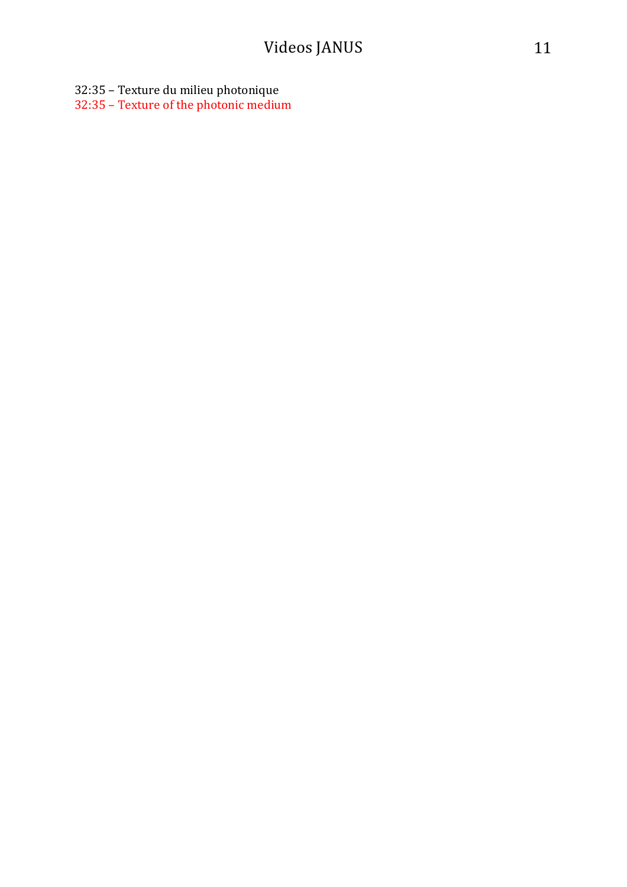32:35 - Texture du milieu photonique

32:35 - Texture of the photonic medium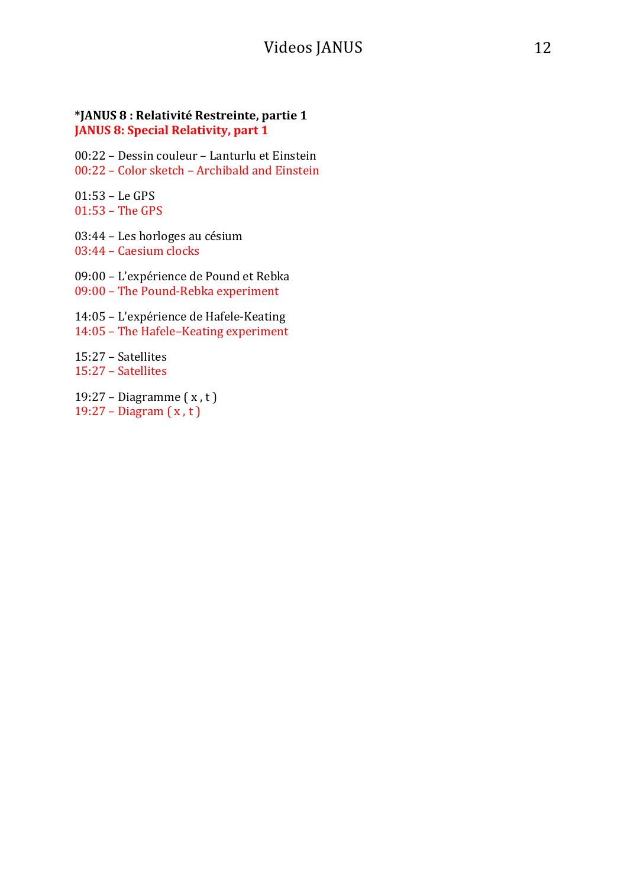#### **\*JANUS 8 : Relativité Restreinte, partie 1 JANUS 8: Special Relativity, part 1**

00:22 - Dessin couleur - Lanturlu et Einstein  $00:22$  – Color sketch – Archibald and Einstein

01:53 – Le GPS  $01:53$  – The GPS

03:44 – Les horloges au césium 03:44 - Caesium clocks

09:00 – L'expérience de Pound et Rebka 09:00 - The Pound-Rebka experiment

14:05 - L'expérience de Hafele-Keating 14:05 - The Hafele-Keating experiment

15:27 – Satellites 15:27 – Satellites

19:27 – Diagramme $(x, t)$ 19:27 – Diagram  $(x, t)$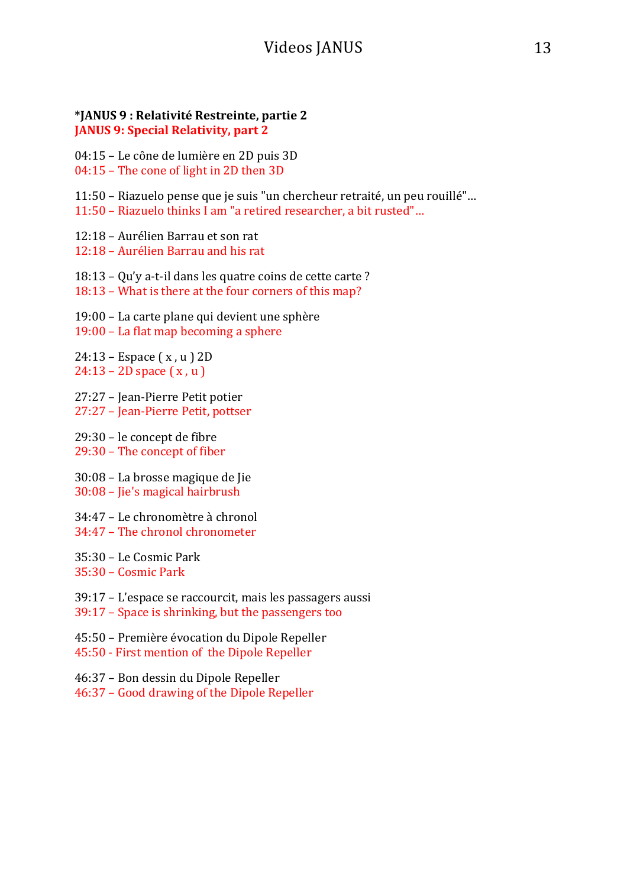#### **\*JANUS 9 : Relativité Restreinte, partie 2 JANUS 9: Special Relativity, part 2**

04:15 – Le cône de lumière en 2D puis 3D

- $04:15$  The cone of light in 2D then 3D
- 11:50 Riazuelo pense que je suis "un chercheur retraité, un peu rouillé"...
- 11:50 Riazuelo thinks I am "a retired researcher, a bit rusted"...
- 12:18 Aurélien Barrau et son rat
- 12:18 Aurélien Barrau and his rat
- $18:13$  Qu'y a-t-il dans les quatre coins de cette carte?
- 18:13 What is there at the four corners of this map?
- 19:00 La carte plane qui devient une sphère
- 19:00 La flat map becoming a sphere
- $24:13$  Espace  $(x, u)$  2D  $24:13 - 2D$  space  $(x, u)$
- 27:27 Jean-Pierre Petit potier 27:27 - Jean-Pierre Petit, pottser
- 29:30 le concept de fibre 29:30 - The concept of fiber
- 30:08 La brosse magique de Jie 30:08 - Jie's magical hairbrush
- 34:47 Le chronomètre à chronol
- 34:47 The chronol chronometer
- 35:30 Le Cosmic Park
- 35:30 – Cosmic Park
- 39:17 L'espace se raccourcit, mais les passagers aussi
- 39:17 Space is shrinking, but the passengers too
- 45:50 Première évocation du Dipole Repeller 45:50 - First mention of the Dipole Repeller
- 46:37 Bon dessin du Dipole Repeller
- 46:37 Good drawing of the Dipole Repeller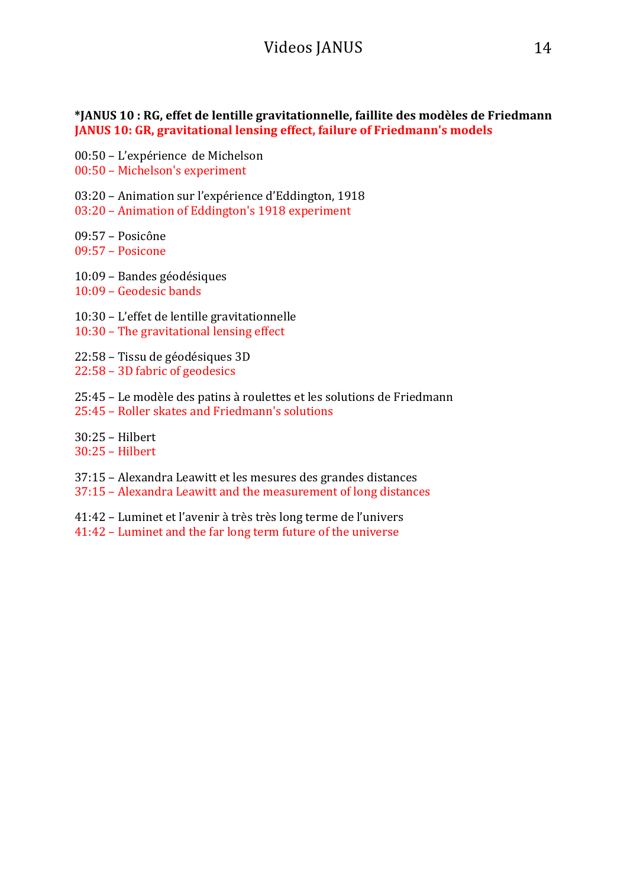#### **\*JANUS 10 : RG, effet de lentille gravitationnelle, faillite des modèles de Friedmann JANUS 10: GR, gravitational lensing effect, failure of Friedmann's models**

00:50 – L'expérience de Michelson

00:50 - Michelson's experiment

03:20 – Animation sur l'expérience d'Eddington, 1918

03:20 – Animation of Eddington's 1918 experiment

09:57 – Posicône

09:57 – Posicone

- 10:09 Bandes géodésiques
- 10:09 Geodesic bands
- 10:30 L'effet de lentille gravitationnelle
- $10:30$  The gravitational lensing effect
- 22:58 Tissu de géodésiques 3D
- $22:58 3D$  fabric of geodesics
- 25:45 Le modèle des patins à roulettes et les solutions de Friedmann 25:45 – Roller skates and Friedmann's solutions

30:25 – Hilbert 30:25 – Hilbert

- 37:15 Alexandra Leawitt et les mesures des grandes distances
- 37:15 Alexandra Leawitt and the measurement of long distances
- 41:42 Luminet et l'avenir à très très long terme de l'univers
- 41:42 Luminet and the far long term future of the universe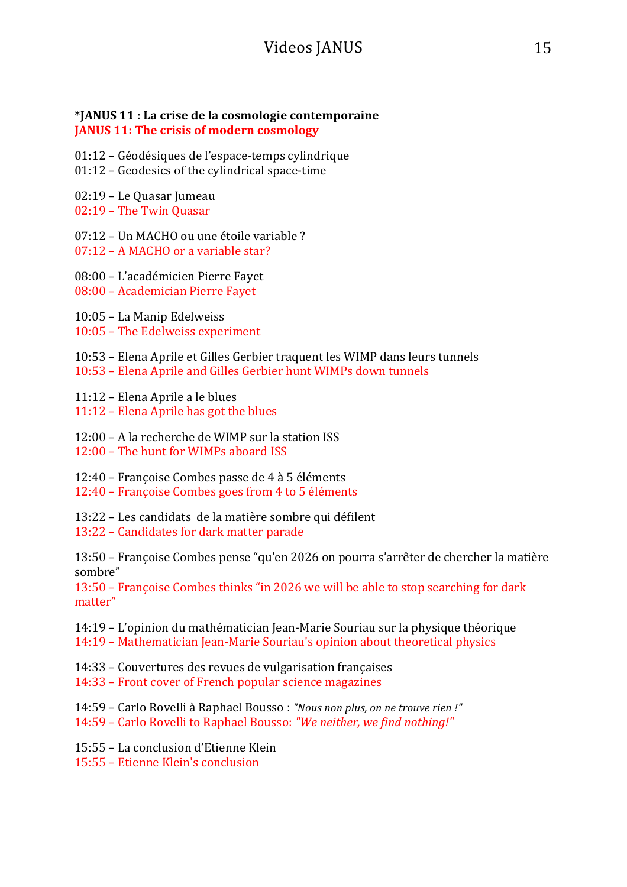#### **\*JANUS 11 : La crise de la cosmologie contemporaine JANUS 11: The crisis of modern cosmology**

- 01:12 Géodésiques de l'espace-temps cylindrique
- $01:12$  Geodesics of the cylindrical space-time
- 02:19 Le Quasar Jumeau
- 02:19 The Twin Quasar
- 07:12 Un MACHO ou une étoile variable ?
- $07:12 A$  MACHO or a variable star?
- 08:00 L'académicien Pierre Fayet
- 08:00 Academician Pierre Fayet
- 10:05 La Manip Edelweiss
- 10:05 The Edelweiss experiment
- 10:53 Elena Aprile et Gilles Gerbier traquent les WIMP dans leurs tunnels
- 10:53 Elena Aprile and Gilles Gerbier hunt WIMPs down tunnels
- 11:12 Elena Aprile a le blues
- $11:12$  Elena Aprile has got the blues
- 12:00 A la recherche de WIMP sur la station  $ISS$
- 12:00 The hunt for WIMPs aboard ISS
- 12:40 Françoise Combes passe de 4 à 5 éléments
- 12:40 Françoise Combes goes from 4 to 5 éléments
- 13:22 Les candidats de la matière sombre qui défilent
- 13:22 Candidates for dark matter parade

13:50 – Françoise Combes pense "qu'en 2026 on pourra s'arrêter de chercher la matière sombre"

13:50 – Françoise Combes thinks "in 2026 we will be able to stop searching for dark matter"

- 14:19 L'opinion du mathématician Jean-Marie Souriau sur la physique théorique
- 14:19 Mathematician Jean-Marie Souriau's opinion about theoretical physics
- 14:33 Couvertures des revues de vulgarisation françaises
- 14:33 Front cover of French popular science magazines
- 14:59 Carlo Rovelli à Raphael Bousso : "Nous non plus, on ne trouve rien!"
- 14:59 Carlo Rovelli to Raphael Bousso: "We neither, we find nothing!"
- 15:55 La conclusion d'Etienne Klein
- 15:55 Etienne Klein's conclusion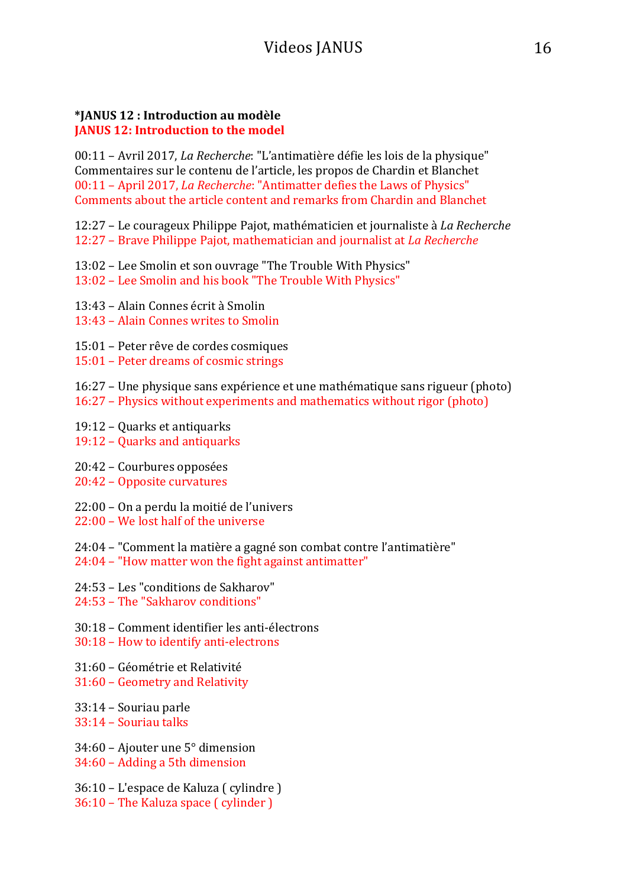#### **\*JANUS 12 : Introduction au modèle JANUS 12: Introduction to the model**

00:11 – Avril 2017, *La Recherche*: "L'antimatière défie les lois de la physique" Commentaires sur le contenu de l'article, les propos de Chardin et Blanchet 00:11 - April 2017, *La Recherche*: "Antimatter defies the Laws of Physics" Comments about the article content and remarks from Chardin and Blanchet

12:27 – Le courageux Philippe Pajot, mathématicien et journaliste à *La Recherche* 12:27 – Brave Philippe Pajot, mathematician and journalist at *La Recherche* 

- 13:02 Lee Smolin et son ouvrage "The Trouble With Physics"
- 13:02 Lee Smolin and his book "The Trouble With Physics"
- 13:43 Alain Connes écrit à Smolin
- 13:43 Alain Connes writes to Smolin
- 15:01 Peter rêve de cordes cosmiques
- 15:01 Peter dreams of cosmic strings
- 16:27 Une physique sans expérience et une mathématique sans rigueur (photo) 16:27 – Physics without experiments and mathematics without rigor (photo)
- 
- $19:12$  Quarks et antiquarks
- 19:12 Quarks and antiquarks
- 20:42 Courbures opposées
- 20:42 Opposite curvatures
- 22:00 On a perdu la moitié de l'univers
- $22:00 -$  We lost half of the universe
- 24:04 "Comment la matière a gagné son combat contre l'antimatière"  $24:04$  – "How matter won the fight against antimatter"
- 24:53 Les "conditions de Sakharov"
- 24:53 The "Sakharov conditions"
- 30:18 Comment identifier les anti-électrons
- 30:18 How to identify anti-electrons
- 31:60 Géométrie et Relativité
- 31:60 Geometry and Relativity
- 33:14 Souriau parle
- 33:14 – Souriau talks
- 34:60 Ajouter une  $5^{\circ}$  dimension 34:60 - Adding a 5th dimension
- 36:10 L'espace de Kaluza ( cylindre )  $36:10$  – The Kaluza space  $\int$  cylinder  $\int$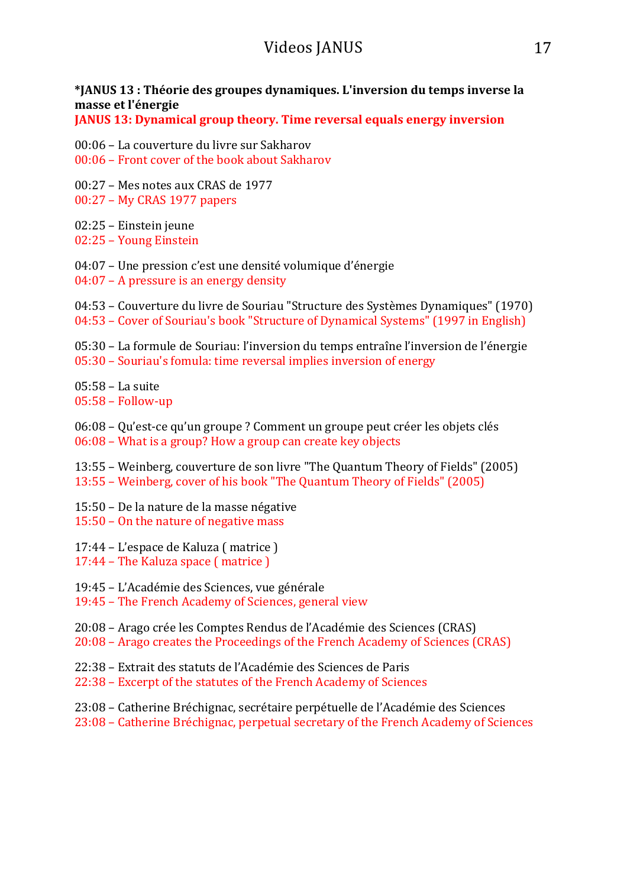#### **\*JANUS 13 : Théorie des groupes dynamiques. L'inversion du temps inverse la masse et l'énergie**

**JANUS 13: Dynamical group theory. Time reversal equals energy inversion** 

- 00:06 La couverture du livre sur Sakharov
- $00:06$  Front cover of the book about Sakharov
- $00:27$  Mes notes aux CRAS de 1977
- 00:27 My CRAS 1977 papers
- 02:25 Einstein jeune
- 02:25 Young Einstein
- $04:07$  Une pression c'est une densité volumique d'énergie
- $04:07$  A pressure is an energy density
- 04:53 Couverture du livre de Souriau "Structure des Systèmes Dynamiques" (1970) 04:53 – Cover of Souriau's book "Structure of Dynamical Systems" (1997 in English)

05:30 – La formule de Souriau: l'inversion du temps entraîne l'inversion de l'énergie  $05:30$  – Souriau's fomula: time reversal implies inversion of energy

05:58 – La suite

- $05:58 -$  Follow-up
- 06:08 Qu'est-ce qu'un groupe ? Comment un groupe peut créer les objets clés
- $06:08$  What is a group? How a group can create key objects

13:55 – Weinberg, couverture de son livre "The Quantum Theory of Fields" (2005) 13:55 – Weinberg, cover of his book "The Quantum Theory of Fields" (2005)

- 15:50 De la nature de la masse négative
- $15:50 On$  the nature of negative mass
- $17:44$  L'espace de Kaluza (matrice)
- $17:44$  The Kaluza space  $($  matrice  $)$
- 19:45 L'Académie des Sciences, vue générale
- 19:45 The French Academy of Sciences, general view
- 20:08 Arago crée les Comptes Rendus de l'Académie des Sciences (CRAS)
- 20:08 Arago creates the Proceedings of the French Academy of Sciences (CRAS)
- 22:38 Extrait des statuts de l'Académie des Sciences de Paris
- 22:38 Excerpt of the statutes of the French Academy of Sciences
- 23:08 Catherine Bréchignac, secrétaire perpétuelle de l'Académie des Sciences
- 23:08 Catherine Bréchignac, perpetual secretary of the French Academy of Sciences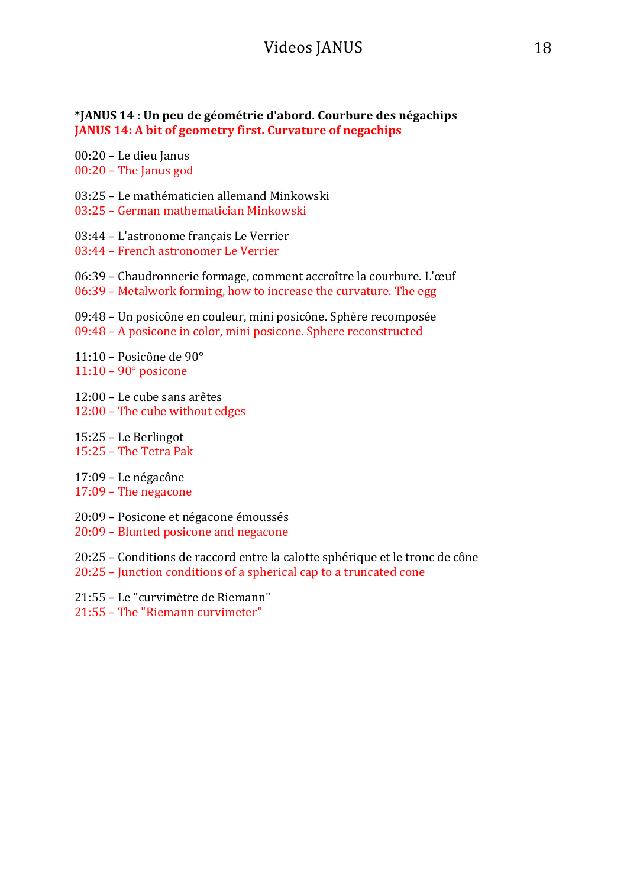#### **\*JANUS 14 : Un peu de géométrie d'abord. Courbure des négachips JANUS 14: A bit of geometry first. Curvature of negachips**

00:20 - Le dieu Janus 00:20 - The Janus god

03:25 – Le mathématicien allemand Minkowski

03:25 – German mathematician Minkowski

03:44 – L'astronome français Le Verrier

03:44 – French astronomer Le Verrier

- 06:39 Chaudronnerie formage, comment accroître la courbure. L'œuf
- $06:39$  Metalwork forming, how to increase the curvature. The egg

09:48 – Un posicône en couleur, mini posicône. Sphère recomposée 09:48 - A posicone in color, mini posicone. Sphere reconstructed

 $11:10$  – Posicône de 90 $^{\circ}$  $11:10 - 90^\circ$  posicone

12:00 – Le cube sans arêtes  $12:00$  – The cube without edges

15:25 – Le Berlingot  $15:25$  – The Tetra Pak

 $17:09$  – Le négacône  $17:09$  – The negacone

20:09 – Posicone et négacone émoussés

20:09 - Blunted posicone and negacone

20:25 – Conditions de raccord entre la calotte sphérique et le tronc de cône  $20:25$  – Junction conditions of a spherical cap to a truncated cone

21:55 – Le "curvimètre de Riemann"

21:55 - The "Riemann curvimeter"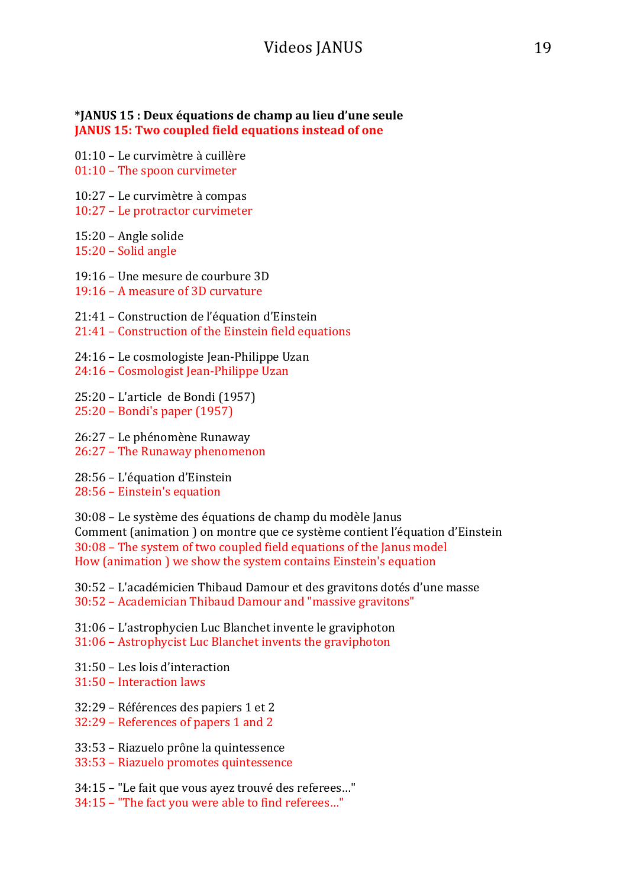#### **\*JANUS 15 : Deux équations de champ au lieu d'une seule JANUS 15: Two coupled field equations instead of one**

01:10 – Le curvimètre à cuillère  $01:10$  – The spoon curvimeter

10:27 – Le curvimètre à compas 10:27 – Le protractor curvimeter

 $15:20$  – Angle solide  $15:20 -$  Solid angle

19:16 – Une mesure de courbure 3D

 $19:16 - A$  measure of 3D curvature

- 21:41 Construction de l'équation d'Einstein
- 21:41 Construction of the Einstein field equations

24:16 – Le cosmologiste Jean-Philippe Uzan

24:16 - Cosmologist Jean-Philippe Uzan

25:20 – L'article de Bondi (1957) 25:20 - Bondi's paper (1957)

26:27 – Le phénomène Runaway

26:27 - The Runaway phenomenon

28:56 – L'équation d'Einstein 28:56 - Einstein's equation

30:08 – Le système des équations de champ du modèle Janus Comment (animation ) on montre que ce système contient l'équation d'Einstein  $30:08$  – The system of two coupled field equations of the Janus model How (animation ) we show the system contains Einstein's equation

30:52 – L'académicien Thibaud Damour et des gravitons dotés d'une masse 30:52 – Academician Thibaud Damour and "massive gravitons"

31:06 – L'astrophycien Luc Blanchet invente le graviphoton

31:06 – Astrophycist Luc Blanchet invents the graviphoton

31:50 – Les lois d'interaction

31:50 – Interaction laws

32:29 – Références des papiers 1 et 2

32:29 – References of papers 1 and 2

33:53 – Riazuelo prône la quintessence

33:53 - Riazuelo promotes quintessence

34:15 – "Le fait que vous ayez trouvé des referees..."

34:15 - "The fact you were able to find referees..."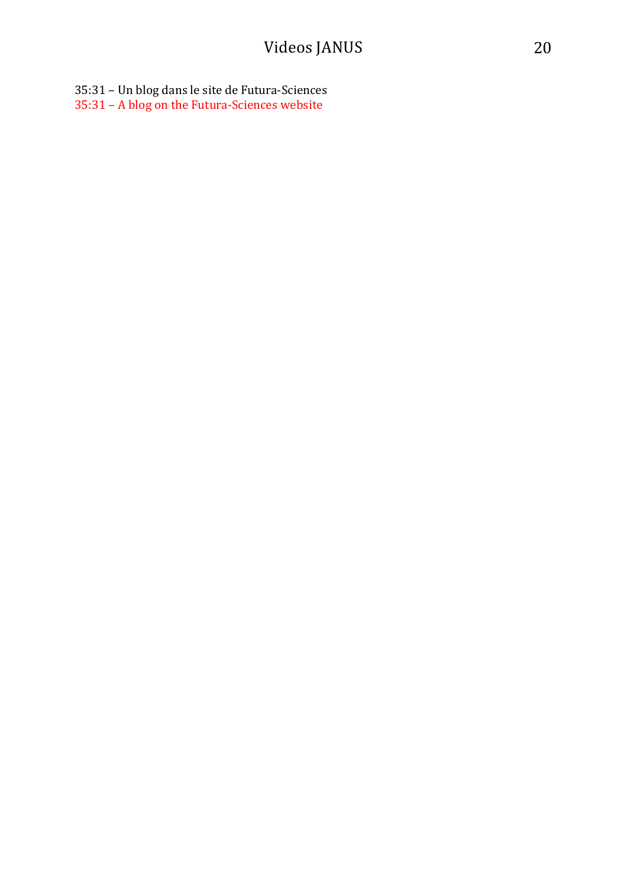35:31 – Un blog dans le site de Futura-Sciences 35:31 - A blog on the Futura-Sciences website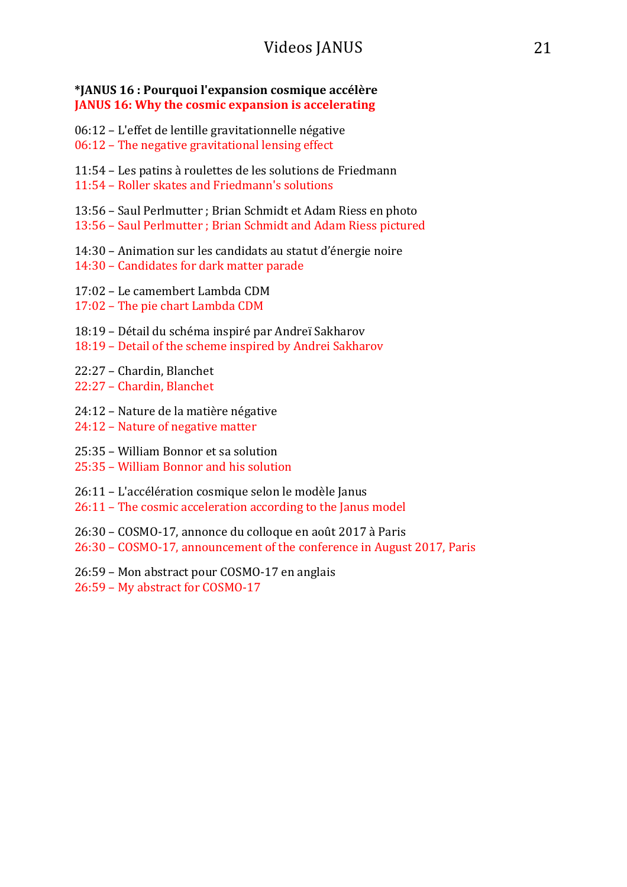#### **\*JANUS 16 : Pourquoi l'expansion cosmique accélère JANUS 16: Why the cosmic expansion is accelerating**

- $06:12$  L'effet de lentille gravitationnelle négative
- $06:12$  The negative gravitational lensing effect
- 11:54 Les patins à roulettes de les solutions de Friedmann
- 11:54 Roller skates and Friedmann's solutions
- 13:56 Saul Perlmutter ; Brian Schmidt et Adam Riess en photo
- 13:56 Saul Perlmutter ; Brian Schmidt and Adam Riess pictured
- 14:30 Animation sur les candidats au statut d'énergie noire
- 14:30 Candidates for dark matter parade
- 17:02 Le camembert Lambda CDM
- 17:02 The pie chart Lambda CDM
- 18:19 Détail du schéma inspiré par Andreï Sakharov
- 18:19 Detail of the scheme inspired by Andrei Sakharov
- 22:27 Chardin, Blanchet
- 22:27 Chardin, Blanchet
- 24:12 Nature de la matière négative
- 24:12 Nature of negative matter
- 25:35 William Bonnor et sa solution
- 25:35 William Bonnor and his solution
- 26:11 L'accélération cosmique selon le modèle Janus
- 26:11 The cosmic acceleration according to the Janus model
- 26:30 COSMO-17, annonce du colloque en août 2017 à Paris
- 26:30 COSMO-17, announcement of the conference in August 2017, Paris
- 26:59 Mon abstract pour COSMO-17 en anglais
- 26:59 My abstract for COSMO-17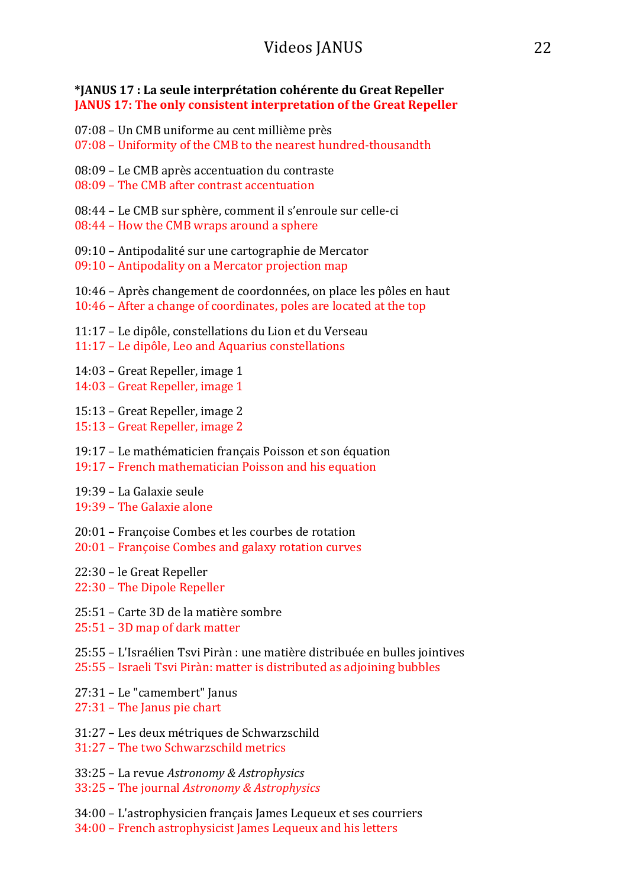#### **\*JANUS 17 : La seule interprétation cohérente du Great Repeller JANUS 17: The only consistent interpretation of the Great Repeller**

- 07:08 Un CMB uniforme au cent millième près
- 07:08 Uniformity of the CMB to the nearest hundred-thousandth
- 08:09 Le CMB après accentuation du contraste
- 08:09 The CMB after contrast accentuation
- 08:44 Le CMB sur sphère, comment il s'enroule sur celle-ci
- $08:44$  How the CMB wraps around a sphere
- 09:10 Antipodalité sur une cartographie de Mercator
- $09:10$  Antipodality on a Mercator projection map
- $10:46$  Après changement de coordonnées, on place les pôles en haut 10:46 - After a change of coordinates, poles are located at the top
- 11:17 Le dipôle, constellations du Lion et du Verseau
- 11:17 Le dipôle, Leo and Aquarius constellations
- 14:03 Great Repeller, image 1
- 14:03 Great Repeller, image 1
- 15:13 Great Repeller, image 2
- 15:13 Great Repeller, image 2
- 19:17 Le mathématicien français Poisson et son équation
- 19:17 French mathematician Poisson and his equation
- 19:39 La Galaxie seule
- $19:39$  The Galaxie alone
- 20:01 Françoise Combes et les courbes de rotation
- 20:01 Françoise Combes and galaxy rotation curves
- 22:30 le Great Repeller
- 22:30 The Dipole Repeller
- 25:51 Carte 3D de la matière sombre
- $25:51 3D$  map of dark matter
- 25:55 L'Israélien Tsvi Piràn : une matière distribuée en bulles jointives 25:55 – Israeli Tsvi Piràn: matter is distributed as adjoining bubbles
- 27:31 Le "camembert" Janus
- $27:31$  The Janus pie chart
- 31:27 Les deux métriques de Schwarzschild
- 31:27 The two Schwarzschild metrics
- 33:25 La revue *Astronomy & Astrophysics*
- 33:25 The journal *Astronomy & Astrophysics*
- 34:00 L'astrophysicien français James Lequeux et ses courriers
- 34:00 French astrophysicist James Lequeux and his letters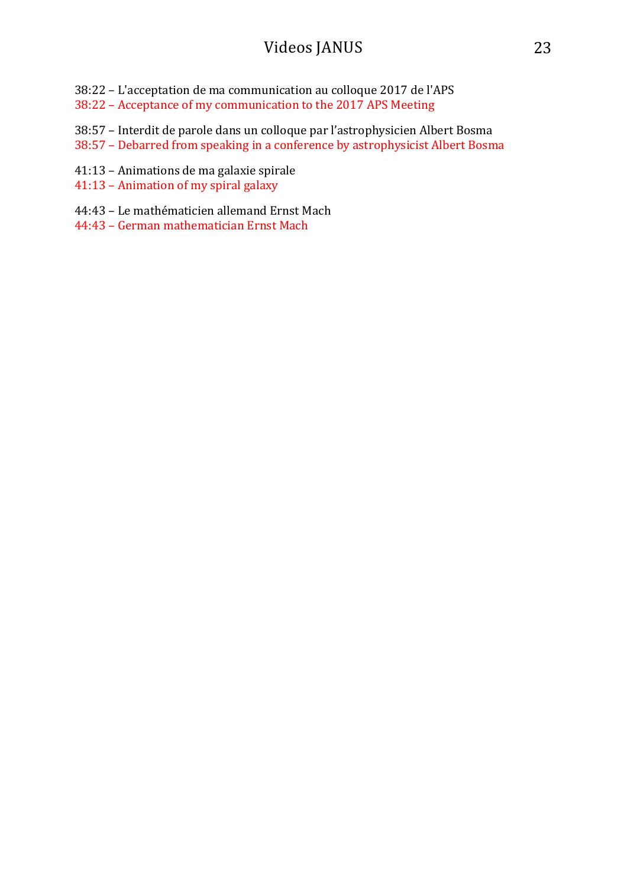- 38:22 L'acceptation de ma communication au colloque 2017 de l'APS
- 38:22 Acceptance of my communication to the 2017 APS Meeting
- 38:57 Interdit de parole dans un colloque par l'astrophysicien Albert Bosma
- 38:57 Debarred from speaking in a conference by astrophysicist Albert Bosma
- 41:13 Animations de ma galaxie spirale
- 41:13 Animation of my spiral galaxy
- 44:43 Le mathématicien allemand Ernst Mach
- 44:43 German mathematician Ernst Mach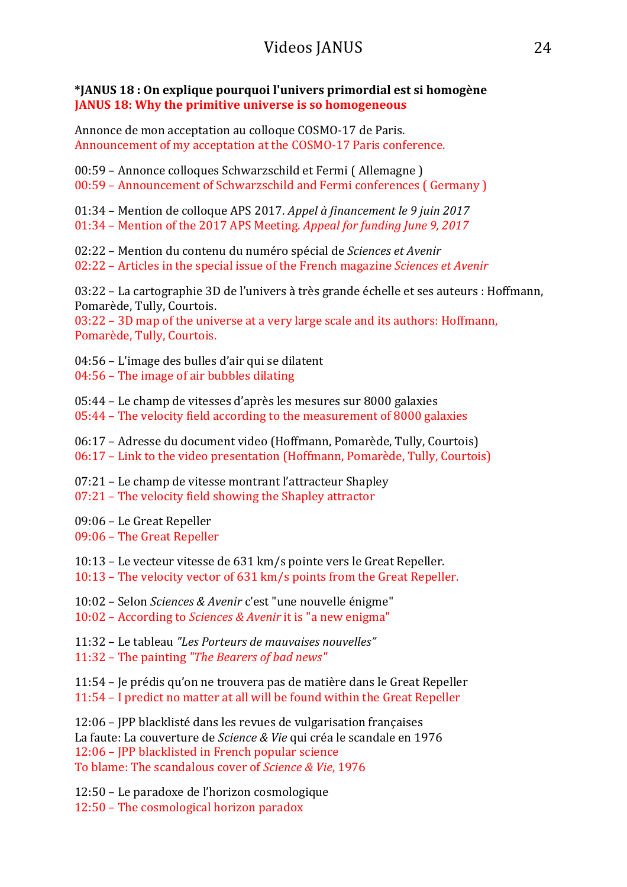#### **\*JANUS 18 : On explique pourquoi l'univers primordial est si homogène JANUS 18: Why the primitive universe is so homogeneous**

Annonce de mon acceptation au colloque COSMO-17 de Paris. Announcement of my acceptation at the COSMO-17 Paris conference.

00:59 – Annonce colloques Schwarzschild et Fermi (Allemagne) 00:59 - Announcement of Schwarzschild and Fermi conferences (Germany)

01:34 – Mention de colloque APS 2017. *Appel à financement le 9 juin 2017*

01:34 – Mention of the 2017 APS Meeting. *Appeal for funding June 9, 2017* 

02:22 – Mention du contenu du numéro spécial de *Sciences et Avenir*

02:22 – Articles in the special issue of the French magazine *Sciences et Avenir* 

03:22 – La cartographie 3D de l'univers à très grande échelle et ses auteurs : Hoffmann, Pomarède, Tully, Courtois.

 $03:22 - 3D$  map of the universe at a very large scale and its authors: Hoffmann, Pomarède, Tully, Courtois.

 $04:56$  – L'image des bulles d'air qui se dilatent

 $04:56$  – The image of air bubbles dilating

 $05:44$  – Le champ de vitesses d'après les mesures sur 8000 galaxies  $05:44$  – The velocity field according to the measurement of 8000 galaxies

06:17 – Adresse du document video (Hoffmann, Pomarède, Tully, Courtois)

06:17 – Link to the video presentation (Hoffmann, Pomarède, Tully, Courtois)

 $07:21$  – Le champ de vitesse montrant l'attracteur Shapley

 $07:21$  – The velocity field showing the Shapley attractor

09:06 – Le Great Repeller

09:06 - The Great Repeller

10:13 – Le vecteur vitesse de 631 km/s pointe vers le Great Repeller.

 $10:13$  – The velocity vector of 631 km/s points from the Great Repeller.

10:02 - Selon *Sciences & Avenir* c'est "une nouvelle énigme"

10:02 – According to *Sciences & Avenir* it is "a new enigma"

11:32 – Le tableau *"Les Porteurs de mauvaises nouvelles"*

11:32 – The painting "The Bearers of bad news"

11:54 – Je prédis qu'on ne trouvera pas de matière dans le Great Repeller

11:54 - I predict no matter at all will be found within the Great Repeller

12:06 – JPP blacklisté dans les revues de vulgarisation françaises La faute: La couverture de *Science & Vie* qui créa le scandale en 1976 12:06 – JPP blacklisted in French popular science To blame: The scandalous cover of *Science & Vie*, 1976

12:50 – Le paradoxe de l'horizon cosmologique

 $12:50$  – The cosmological horizon paradox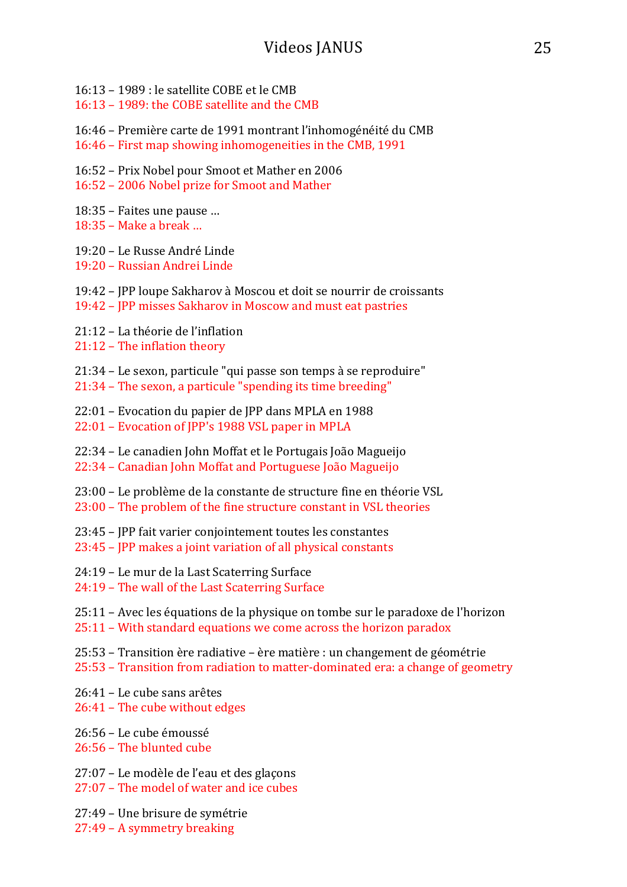- $16.13 1989$  · le satellite COBE et le CMB
- 16:13 1989: the COBE satellite and the CMB
- 16:46 Première carte de 1991 montrant l'inhomogénéité du CMB
- 16:46 First map showing inhomogeneities in the CMB, 1991
- 16:52 Prix Nobel pour Smoot et Mather en 2006
- 16:52 2006 Nobel prize for Smoot and Mather
- $18:35$  Faites une pause ...
- $18:35$  Make a break ...
- 19:20 Le Russe André Linde
- 19:20 Russian Andrei Linde
- 19:42 JPP loupe Sakharov à Moscou et doit se nourrir de croissants 19:42 - JPP misses Sakharov in Moscow and must eat pastries
- 21:12 La théorie de l'inflation
- $21:12$  The inflation theory
- $21:34$  Le sexon, particule "qui passe son temps à se reproduire"
- $21:34$  The sexon, a particule "spending its time breeding"
- 22:01 Evocation du papier de JPP dans MPLA en 1988
- 22:01 Evocation of JPP's 1988 VSL paper in MPLA
- 22:34 Le canadien John Moffat et le Portugais João Magueijo
- 22:34 Canadian John Moffat and Portuguese João Magueijo
- 23:00 Le problème de la constante de structure fine en théorie VSL
- 23:00 The problem of the fine structure constant in VSL theories
- 23:45 JPP fait varier conjointement toutes les constantes
- $23:45$  JPP makes a joint variation of all physical constants
- 24:19 Le mur de la Last Scaterring Surface
- 24:19 The wall of the Last Scaterring Surface
- 25:11 Avec les équations de la physique on tombe sur le paradoxe de l'horizon  $25:11$  – With standard equations we come across the horizon paradox
- $25:53$  Transition ère radiative ère matière : un changement de géométrie
- 25:53 Transition from radiation to matter-dominated era: a change of geometry
- 26:41 Le cube sans arêtes
- 26:41 The cube without edges
- 26:56 Le cube émoussé
- 26:56 The blunted cube
- 27:07 Le modèle de l'eau et des glaçons
- $27:07$  The model of water and ice cubes
- 27:49 Une brisure de symétrie
- 27:49 A symmetry breaking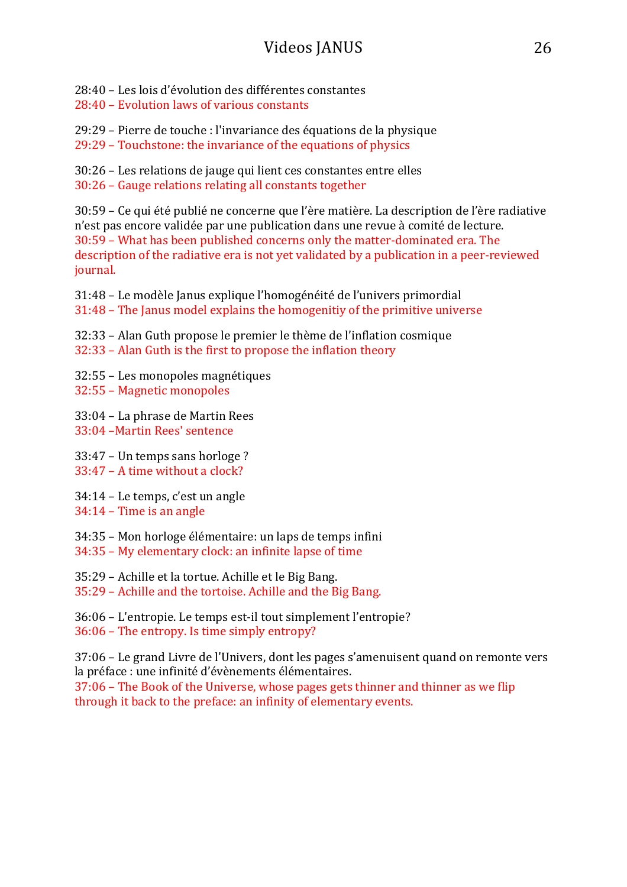28:40 – Les lois d'évolution des différentes constantes

28:40 – Evolution laws of various constants

29:29 – Pierre de touche : l'invariance des équations de la physique

 $29:29$  – Touchstone: the invariance of the equations of physics

30:26 – Les relations de jauge qui lient ces constantes entre elles 30:26 - Gauge relations relating all constants together

30:59 – Ce qui été publié ne concerne que l'ère matière. La description de l'ère radiative n'est pas encore validée par une publication dans une revue à comité de lecture. 30:59 - What has been published concerns only the matter-dominated era. The description of the radiative era is not yet validated by a publication in a peer-reviewed journal.

31:48 – Le modèle Janus explique l'homogénéité de l'univers primordial  $31:48$  – The Janus model explains the homogenitiv of the primitive universe

- 32:33 Alan Guth propose le premier le thème de l'inflation cosmique
- $32:33$  Alan Guth is the first to propose the inflation theory
- 32:55 Les monopoles magnétiques
- 32:55 Magnetic monopoles

33:04 – La phrase de Martin Rees 33:04 –Martin Rees' sentence

 $33:47$  – Un temps sans horloge ?

- $33.47 A$  time without a clock?
- 34:14 Le temps, c'est un angle
- $34:14$  Time is an angle
- 34:35 Mon horloge élémentaire: un laps de temps infini
- 34:35 My elementary clock: an infinite lapse of time

35:29 – Achille et la tortue. Achille et le Big Bang.

35:29 - Achille and the tortoise. Achille and the Big Bang.

36:06 – L'entropie. Le temps est-il tout simplement l'entropie?  $36:06$  – The entropy. Is time simply entropy?

37:06 – Le grand Livre de l'Univers, dont les pages s'amenuisent quand on remonte vers la préface : une infinité d'évènements élémentaires.

 $37:06$  – The Book of the Universe, whose pages gets thinner and thinner as we flip through it back to the preface: an infinity of elementary events.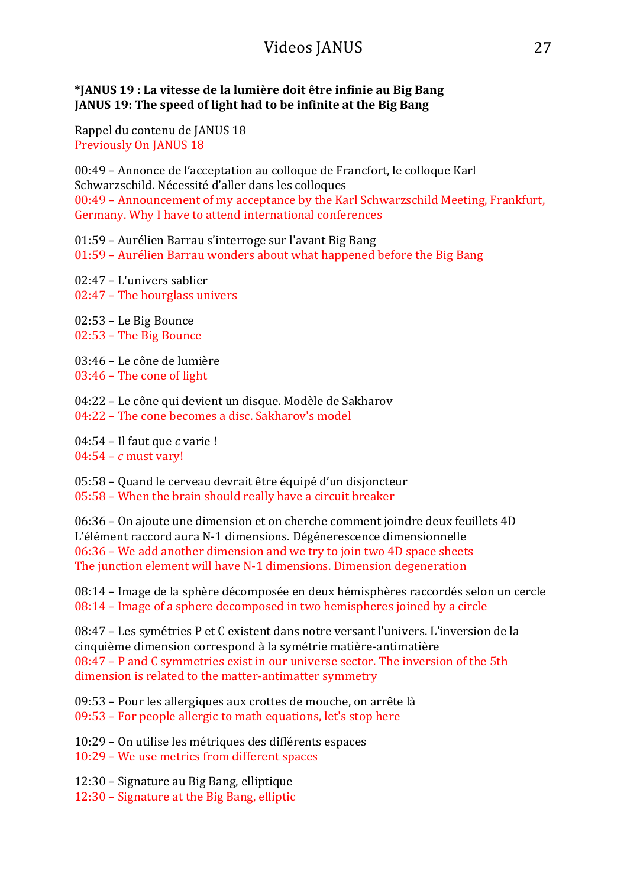#### **\*JANUS 19 : La vitesse de la lumière doit être infinie au Big Bang JANUS 19: The speed of light had to be infinite at the Big Bang**

Rappel du contenu de JANUS 18 Previously On JANUS 18

00:49 – Annonce de l'acceptation au colloque de Francfort, le colloque Karl Schwarzschild. Nécessité d'aller dans les colloques 00:49 - Announcement of my acceptance by the Karl Schwarzschild Meeting, Frankfurt, Germany. Why I have to attend international conferences

01:59 – Aurélien Barrau s'interroge sur l'avant Big Bang

 $01:59$  – Aurélien Barrau wonders about what happened before the Big Bang

02:47 – L'univers sablier

 $02:47$  – The hourglass univers

02:53 – Le Big Bounce 02:53 - The Big Bounce

03:46 – Le cône de lumière

 $03:46$  – The cone of light

04:22 – Le cône qui devient un disque. Modèle de Sakharov 04:22 – The cone becomes a disc. Sakharov's model

04:54 – Il faut que *c* varie !  $04:54 - c$  must vary!

05:58 – Quand le cerveau devrait être équipé d'un disjoncteur

 $05:58$  – When the brain should really have a circuit breaker

06:36 – On ajoute une dimension et on cherche comment joindre deux feuillets 4D L'élément raccord aura N-1 dimensions. Dégénerescence dimensionnelle  $06:36$  – We add another dimension and we try to join two 4D space sheets The junction element will have N-1 dimensions. Dimension degeneration

08:14 – Image de la sphère décomposée en deux hémisphères raccordés selon un cercle  $08:14$  – Image of a sphere decomposed in two hemispheres joined by a circle

08:47 – Les symétries P et C existent dans notre versant l'univers. L'inversion de la cinquième dimension correspond à la symétrie matière-antimatière  $08:47$  – P and C symmetries exist in our universe sector. The inversion of the 5th dimension is related to the matter-antimatter symmetry

09:53 – Pour les allergiques aux crottes de mouche, on arrête là 09:53 – For people allergic to math equations, let's stop here

10:29 – On utilise les métriques des différents espaces

10:29 – We use metrics from different spaces

12:30 – Signature au Big Bang, elliptique

12:30 – Signature at the Big Bang, elliptic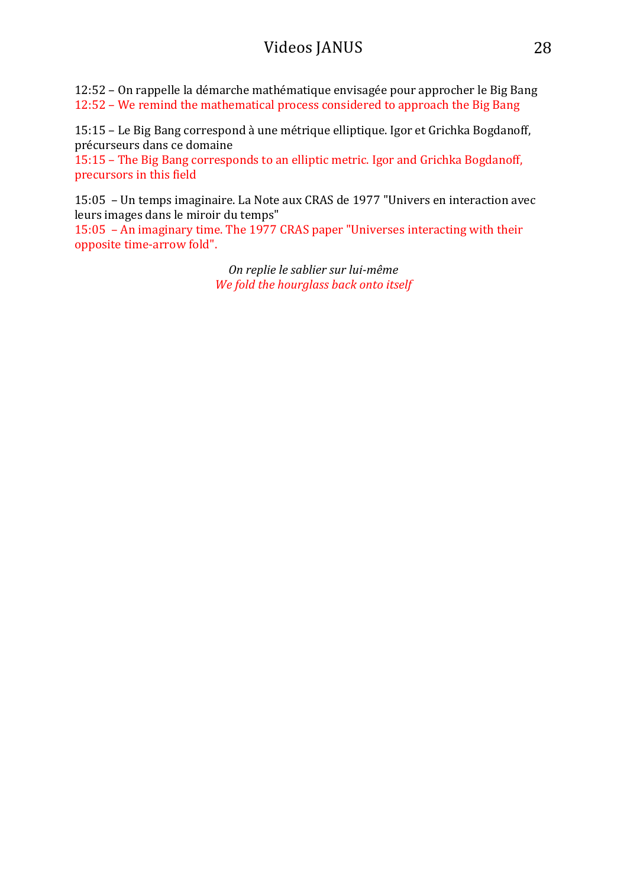12:52 – On rappelle la démarche mathématique envisagée pour approcher le Big Bang 12:52 – We remind the mathematical process considered to approach the Big Bang

15:15 – Le Big Bang correspond à une métrique elliptique. Igor et Grichka Bogdanoff, précurseurs dans ce domaine

15:15 – The Big Bang corresponds to an elliptic metric. Igor and Grichka Bogdanoff, precursors in this field

15:05 - Un temps imaginaire. La Note aux CRAS de 1977 "Univers en interaction avec leurs images dans le miroir du temps"

15:05 - An imaginary time. The 1977 CRAS paper "Universes interacting with their opposite time-arrow fold".

> *On replie le sablier sur lui-même We fold the hourglass back onto itself*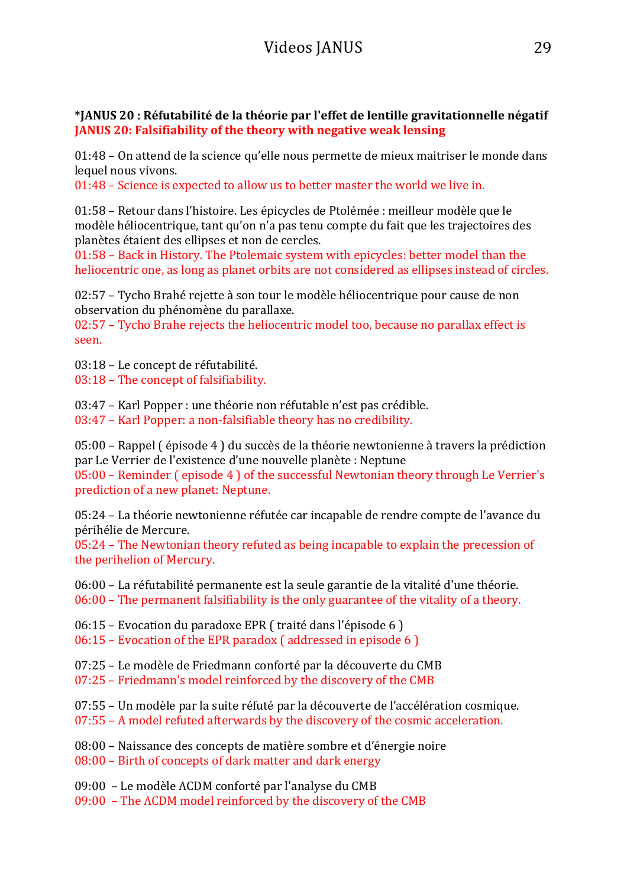#### **\*JANUS 20 : Réfutabilité de la théorie par l'effet de lentille gravitationnelle négatif JANUS 20: Falsifiability of the theory with negative weak lensing**

01:48 – On attend de la science qu'elle nous permette de mieux maitriser le monde dans lequel nous vivons.

 $01:48$  – Science is expected to allow us to better master the world we live in.

01:58 – Retour dans l'histoire. Les épicycles de Ptolémée : meilleur modèle que le modèle héliocentrique, tant qu'on n'a pas tenu compte du fait que les trajectoires des planètes étaient des ellipses et non de cercles.

01:58 – Back in History. The Ptolemaic system with epicycles: better model than the heliocentric one, as long as planet orbits are not considered as ellipses instead of circles.

02:57 – Tycho Brahé rejette à son tour le modèle héliocentrique pour cause de non observation du phénomène du parallaxe.

 $02:57$  – Tycho Brahe rejects the heliocentric model too, because no parallax effect is seen.

03:18 - Le concept de réfutabilité.

03:18 - The concept of falsifiability.

03:47 – Karl Popper : une théorie non réfutable n'est pas crédible.

 $03:47$  – Karl Popper: a non-falsifiable theory has no credibility.

 $05:00$  – Rappel ( $\acute{e}$ pisode 4) du succès de la théorie newtonienne à travers la prédiction par Le Verrier de l'existence d'une nouvelle planète : Neptune

 $05:00$  – Reminder (episode 4) of the successful Newtonian theory through Le Verrier's prediction of a new planet: Neptune.

05:24 – La théorie newtonienne réfutée car incapable de rendre compte de l'avance du périhélie de Mercure. 

 $05:24$  – The Newtonian theory refuted as being incapable to explain the precession of the perihelion of Mercury.

 $06:00$  – La réfutabilité permanente est la seule garantie de la vitalité d'une théorie.  $06:00$  – The permanent falsifiability is the only guarantee of the vitality of a theory.

 $06:15$  – Evocation du paradoxe EPR (traité dans l'épisode 6)

- $06:15$  Evocation of the EPR paradox (addressed in episode 6)
- 07:25 Le modèle de Friedmann conforté par la découverte du CMB
- $07:25$  Friedmann's model reinforced by the discovery of the CMB
- $07:55$  Un modèle par la suite réfuté par la découverte de l'accélération cosmique.
- $07:55$  A model refuted afterwards by the discovery of the cosmic acceleration.
- 08:00 Naissance des concepts de matière sombre et d'énergie noire
- $08:00$  Birth of concepts of dark matter and dark energy
- 09:00 Le modèle ΛCDM conforté par l'analyse du CMB

09:00 - The ΛCDM model reinforced by the discovery of the CMB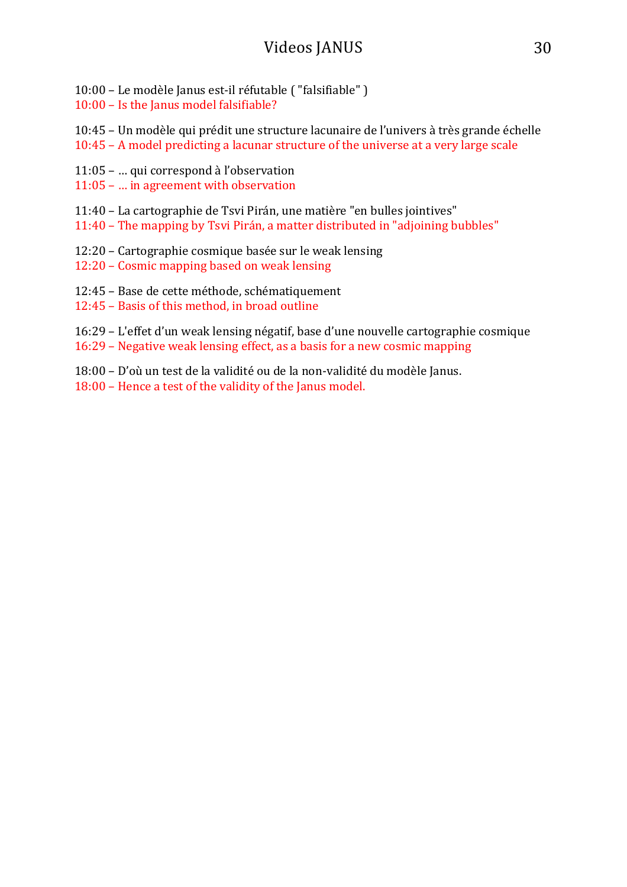10:00 – Le modèle Janus est-il réfutable ( "falsifiable" )

 $10:00 -$  Is the Janus model falsifiable?

10:45 – Un modèle qui prédit une structure lacunaire de l'univers à très grande échelle

- $10:45$  A model predicting a lacunar structure of the universe at a very large scale
- 11:05 ... qui correspond à l'observation
- $11:05$  ... in agreement with observation
- 11:40 La cartographie de Tsvi Pirán, une matière "en bulles jointives"
- 11:40 The mapping by Tsvi Pirán, a matter distributed in "adjoining bubbles"
- 12:20 Cartographie cosmique basée sur le weak lensing
- 12:20 Cosmic mapping based on weak lensing
- 12:45 Base de cette méthode, schématiquement
- 12:45 Basis of this method, in broad outline
- 16:29 L'effet d'un weak lensing négatif, base d'une nouvelle cartographie cosmique
- $16:29$  Negative weak lensing effect, as a basis for a new cosmic mapping
- 18:00 D'où un test de la validité ou de la non-validité du modèle Janus.
- 18:00 Hence a test of the validity of the Janus model.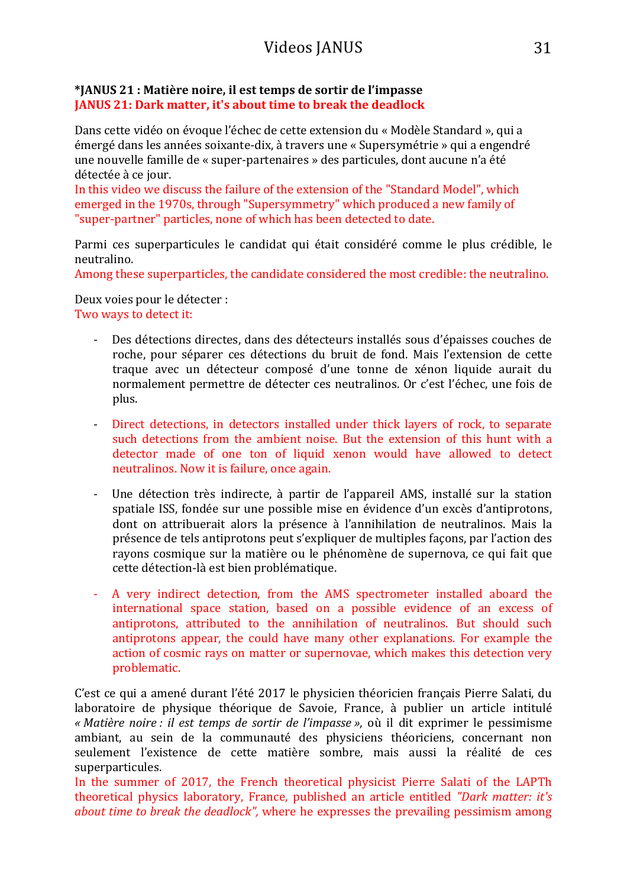#### **\*JANUS 21 : Matière noire, il est temps de sortir de l'impasse JANUS 21: Dark matter, it's about time to break the deadlock**

Dans cette vidéo on évoque l'échec de cette extension du « Modèle Standard », qui a émergé dans les années soixante-dix, à travers une « Supersymétrie » qui a engendré une nouvelle famille de « super-partenaires » des particules, dont aucune n'a été détectée à ce jour.

In this video we discuss the failure of the extension of the "Standard Model", which emerged in the 1970s, through "Supersymmetry" which produced a new family of "super-partner" particles, none of which has been detected to date.

Parmi ces superparticules le candidat qui était considéré comme le plus crédible, le neutralino.

Among these superparticles, the candidate considered the most credible: the neutralino.

Deux voies pour le détecter : Two ways to detect it:

- Des détections directes, dans des détecteurs installés sous d'épaisses couches de roche, pour séparer ces détections du bruit de fond. Mais l'extension de cette traque avec un détecteur composé d'une tonne de xénon liquide aurait du normalement permettre de détecter ces neutralinos. Or c'est l'échec, une fois de plus.
- Direct detections, in detectors installed under thick layers of rock, to separate such detections from the ambient noise. But the extension of this hunt with a detector made of one ton of liquid xenon would have allowed to detect neutralinos. Now it is failure, once again.
- Une détection très indirecte, à partir de l'appareil AMS, installé sur la station spatiale ISS, fondée sur une possible mise en évidence d'un excès d'antiprotons, dont on attribuerait alors la présence à l'annihilation de neutralinos. Mais la présence de tels antiprotons peut s'expliquer de multiples façons, par l'action des rayons cosmique sur la matière ou le phénomène de supernova, ce qui fait que cette détection-là est bien problématique.
- A very indirect detection, from the AMS spectrometer installed aboard the international space station, based on a possible evidence of an excess of antiprotons, attributed to the annihilation of neutralinos. But should such antiprotons appear, the could have many other explanations. For example the action of cosmic rays on matter or supernovae, which makes this detection very problematic.

C'est ce qui a amené durant l'été 2017 le physicien théoricien français Pierre Salati, du laboratoire de physique théorique de Savoie, France, à publier un article intitulé *« Matière noire : il est temps de sortir de l'impasse »*, où il dit exprimer le pessimisme ambiant, au sein de la communauté des physiciens théoriciens, concernant non seulement l'existence de cette matière sombre, mais aussi la réalité de ces superparticules. 

In the summer of 2017, the French theoretical physicist Pierre Salati of the LAPTh theoretical physics laboratory, France, published an article entitled *"Dark matter: it's about time to break the deadlock",* where he expresses the prevailing pessimism among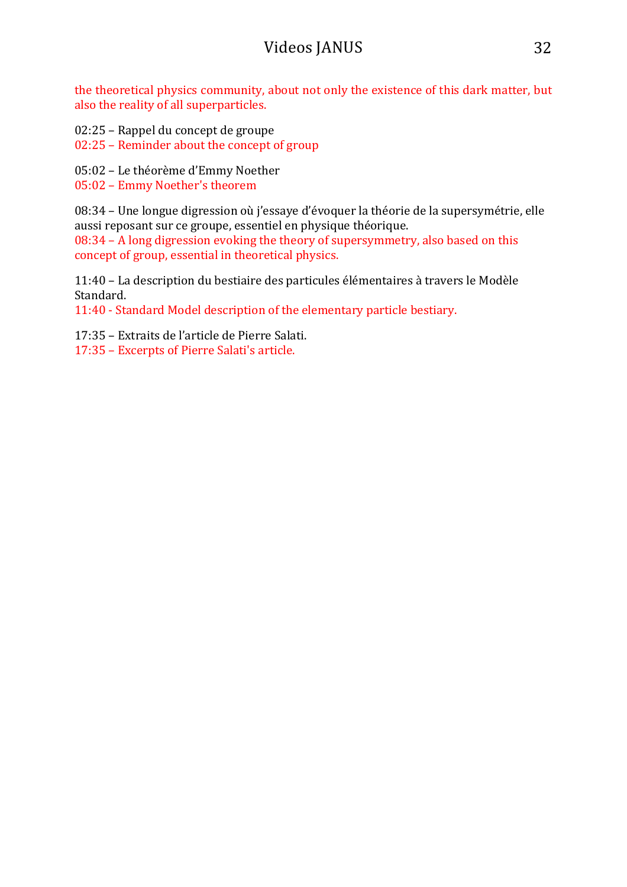the theoretical physics community, about not only the existence of this dark matter, but also the reality of all superparticles.

- 02:25 Rappel du concept de groupe
- 02:25 Reminder about the concept of group
- 05:02 Le théorème d'Emmy Noether
- 05:02 Emmy Noether's theorem

08:34 – Une longue digression où j'essaye d'évoquer la théorie de la supersymétrie, elle aussi reposant sur ce groupe, essentiel en physique théorique.

 $08:34$  – A long digression evoking the theory of supersymmetry, also based on this concept of group, essential in theoretical physics.

11:40 – La description du bestiaire des particules élémentaires à travers le Modèle Standard. 

11:40 - Standard Model description of the elementary particle bestiary.

17:35 – Extraits de l'article de Pierre Salati.

17:35 – Excerpts of Pierre Salati's article.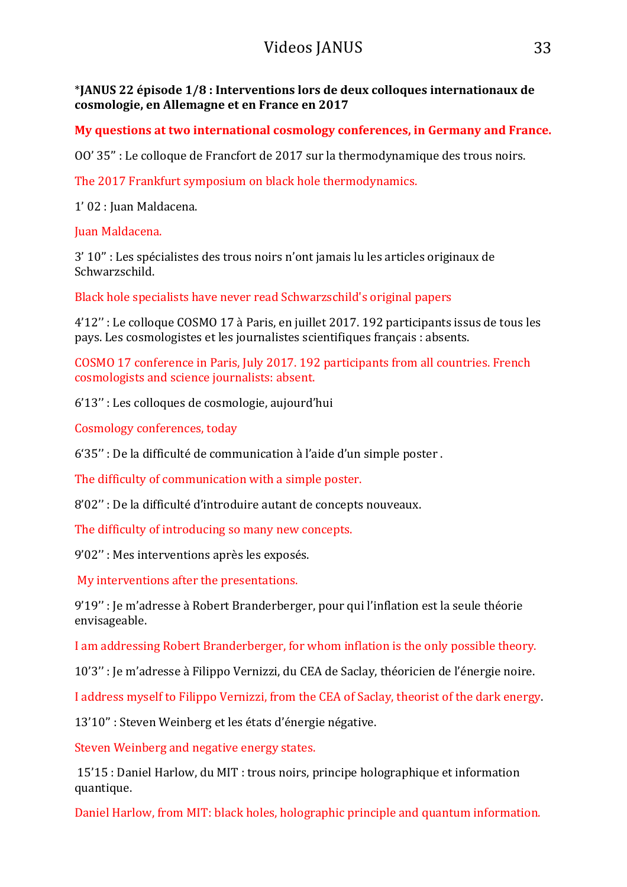\***JANUS 22 épisode 1/8 : Interventions lors de deux colloques internationaux de cosmologie, en Allemagne et en France en 2017**

**My questions at two international cosmology conferences, in Germany and France.** 

OO' 35" : Le colloque de Francfort de 2017 sur la thermodynamique des trous noirs.

The 2017 Frankfurt symposium on black hole thermodynamics.

1' 02 : Juan Maldacena.

Juan Maldacena.

3' 10" : Les spécialistes des trous noirs n'ont jamais lu les articles originaux de Schwarzschild. 

Black hole specialists have never read Schwarzschild's original papers

4'12" : Le colloque COSMO 17 à Paris, en juillet 2017. 192 participants issus de tous les pays. Les cosmologistes et les journalistes scientifiques français : absents.

COSMO 17 conference in Paris, July 2017. 192 participants from all countries. French cosmologists and science journalists: absent.

6'13" : Les colloques de cosmologie, aujourd'hui

Cosmology conferences, today

 $6'35''$ : De la difficulté de communication à l'aide d'un simple poster.

The difficulty of communication with a simple poster.

8'02" : De la difficulté d'introduire autant de concepts nouveaux.

The difficulty of introducing so many new concepts.

9'02" : Mes interventions après les exposés.

My interventions after the presentations.

9'19" : Je m'adresse à Robert Branderberger, pour qui l'inflation est la seule théorie envisageable. 

I am addressing Robert Branderberger, for whom inflation is the only possible theory.

10'3" : le m'adresse à Filippo Vernizzi, du CEA de Saclay, théoricien de l'énergie noire.

I address myself to Filippo Vernizzi, from the CEA of Saclay, theorist of the dark energy.

13'10" : Steven Weinberg et les états d'énergie négative.

Steven Weinberg and negative energy states.

15'15 : Daniel Harlow, du MIT : trous noirs, principe holographique et information quantique. 

Daniel Harlow, from MIT: black holes, holographic principle and quantum information.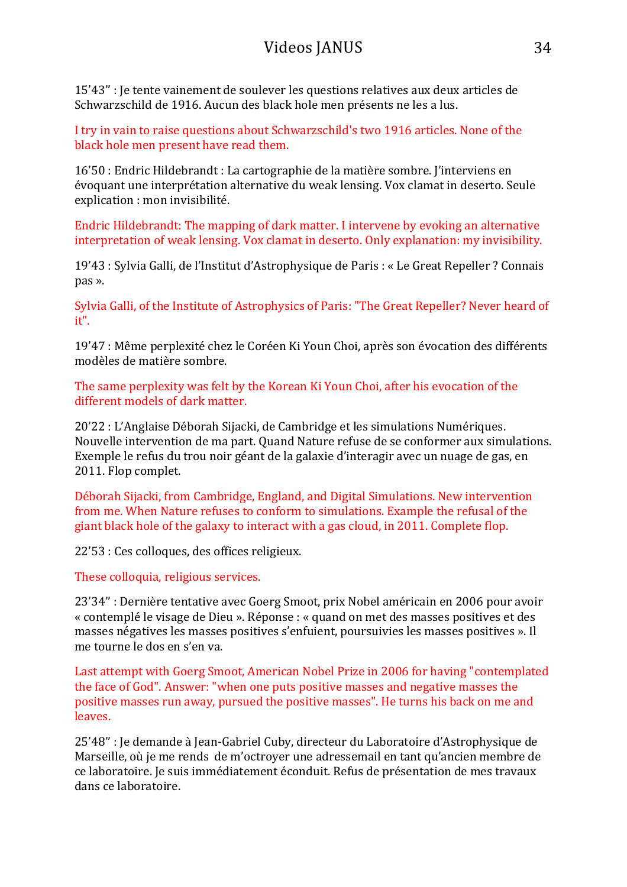15'43" : Je tente vainement de soulever les questions relatives aux deux articles de Schwarzschild de 1916. Aucun des black hole men présents ne les a lus.

I try in vain to raise questions about Schwarzschild's two 1916 articles. None of the black hole men present have read them.

16'50 : Endric Hildebrandt : La cartographie de la matière sombre. l'interviens en évoquant une interprétation alternative du weak lensing. Vox clamat in deserto. Seule explication : mon invisibilité.

Endric Hildebrandt: The mapping of dark matter. I intervene by evoking an alternative interpretation of weak lensing. Vox clamat in deserto. Only explanation: my invisibility.

19'43 : Sylvia Galli, de l'Institut d'Astrophysique de Paris : « Le Great Repeller ? Connais pas ». 

Sylvia Galli, of the Institute of Astrophysics of Paris: "The Great Repeller? Never heard of it".

19'47 : Même perplexité chez le Coréen Ki Youn Choi, après son évocation des différents modèles de matière sombre.

The same perplexity was felt by the Korean Ki Youn Choi, after his evocation of the different models of dark matter.

20'22 : L'Anglaise Déborah Sijacki, de Cambridge et les simulations Numériques. Nouvelle intervention de ma part. Quand Nature refuse de se conformer aux simulations. Exemple le refus du trou noir géant de la galaxie d'interagir avec un nuage de gas, en 2011. Flop complet.

Déborah Sijacki, from Cambridge, England, and Digital Simulations, New intervention from me. When Nature refuses to conform to simulations. Example the refusal of the giant black hole of the galaxy to interact with a gas cloud, in 2011. Complete flop.

22'53 : Ces colloques, des offices religieux.

These colloquia, religious services.

23'34" : Dernière tentative avec Goerg Smoot, prix Nobel américain en 2006 pour avoir « contemplé le visage de Dieu ». Réponse : « quand on met des masses positives et des masses négatives les masses positives s'enfuient, poursuivies les masses positives ». Il me tourne le dos en s'en va.

Last attempt with Goerg Smoot, American Nobel Prize in 2006 for having "contemplated the face of God". Answer: "when one puts positive masses and negative masses the positive masses run away, pursued the positive masses". He turns his back on me and leaves.

25'48" : Je demande à Jean-Gabriel Cuby, directeur du Laboratoire d'Astrophysique de Marseille, où je me rends de m'octrover une adressemail en tant qu'ancien membre de ce laboratoire. Je suis immédiatement éconduit. Refus de présentation de mes travaux dans ce laboratoire.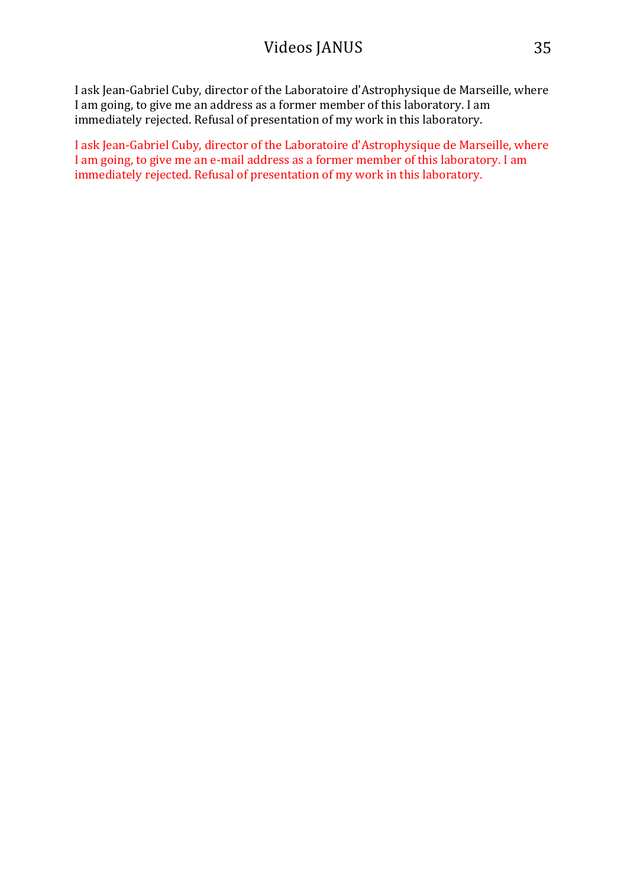I ask Jean-Gabriel Cuby, director of the Laboratoire d'Astrophysique de Marseille, where I am going, to give me an address as a former member of this laboratory. I am immediately rejected. Refusal of presentation of my work in this laboratory.

I ask Jean-Gabriel Cuby, director of the Laboratoire d'Astrophysique de Marseille, where I am going, to give me an e-mail address as a former member of this laboratory. I am immediately rejected. Refusal of presentation of my work in this laboratory.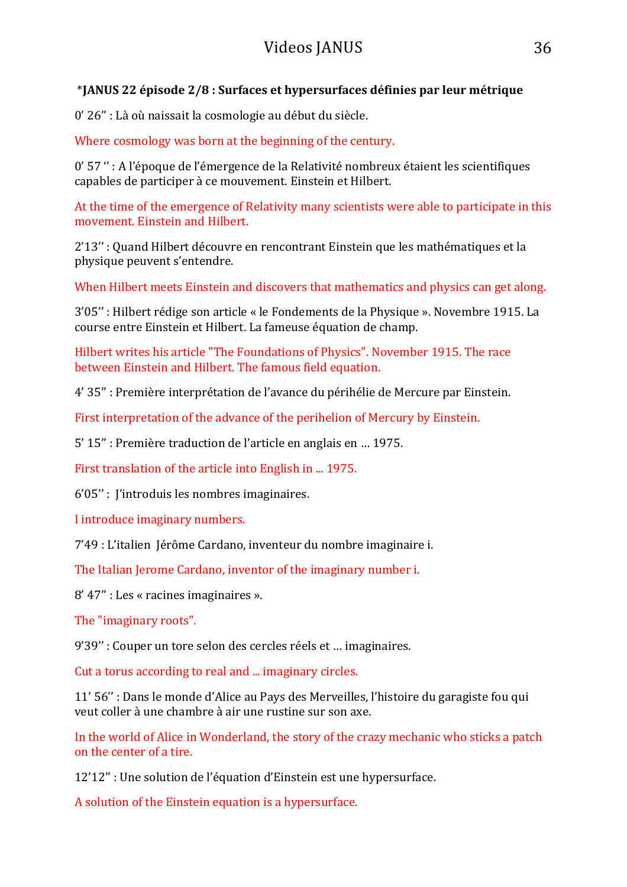### \***JANUS 22 épisode 2/8 : Surfaces et hypersurfaces définies par leur métrique**

0' 26" : Là où naissait la cosmologie au début du siècle.

Where cosmology was born at the beginning of the century.

0' 57 " : A l'époque de l'émergence de la Relativité nombreux étaient les scientifiques capables de participer à ce mouvement. Einstein et Hilbert.

At the time of the emergence of Relativity many scientists were able to participate in this movement. Einstein and Hilbert.

2'13" : Quand Hilbert découvre en rencontrant Einstein que les mathématiques et la physique peuvent s'entendre.

When Hilbert meets Einstein and discovers that mathematics and physics can get along.

3'05" : Hilbert rédige son article « le Fondements de la Physique ». Novembre 1915. La course entre Einstein et Hilbert. La fameuse équation de champ.

Hilbert writes his article "The Foundations of Physics". November 1915. The race between Einstein and Hilbert. The famous field equation.

4' 35" : Première interprétation de l'avance du périhélie de Mercure par Einstein.

First interpretation of the advance of the perihelion of Mercury by Einstein.

5' 15" : Première traduction de l'article en anglais en ... 1975.

First translation of the article into English in ... 1975.

 $6'05''$ : l'introduis les nombres imaginaires.

I introduce imaginary numbers.

7'49 : L'italien Jérôme Cardano, inventeur du nombre imaginaire i.

The Italian Jerome Cardano, inventor of the imaginary number i.

 $8'$  47" : Les « racines imaginaires ».

The "imaginary roots".

9'39" : Couper un tore selon des cercles réels et ... imaginaires.

Cut a torus according to real and ... imaginary circles.

11' 56" : Dans le monde d'Alice au Pays des Merveilles, l'histoire du garagiste fou qui veut coller à une chambre à air une rustine sur son axe.

In the world of Alice in Wonderland, the story of the crazy mechanic who sticks a patch on the center of a tire.

12'12" : Une solution de l'équation d'Einstein est une hypersurface.

A solution of the Einstein equation is a hypersurface.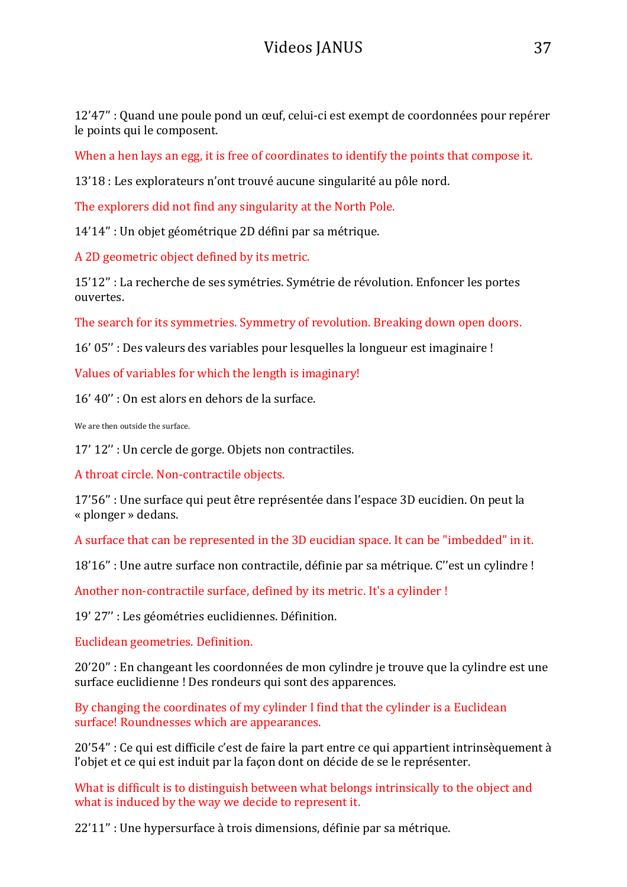12'47" : Quand une poule pond un œuf, celui-ci est exempt de coordonnées pour repérer le points qui le composent.

When a hen lays an egg, it is free of coordinates to identify the points that compose it.

13'18 : Les explorateurs n'ont trouvé aucune singularité au pôle nord.

The explorers did not find any singularity at the North Pole.

14'14" : Un objet géométrique 2D défini par sa métrique.

A 2D geometric object defined by its metric.

15'12" : La recherche de ses symétries. Symétrie de révolution. Enfoncer les portes ouvertes. 

The search for its symmetries. Symmetry of revolution. Breaking down open doors.

16' 05" : Des valeurs des variables pour lesquelles la longueur est imaginaire !

Values of variables for which the length is imaginary!

16' 40" : On est alors en dehors de la surface.

We are then outside the surface.

17' 12" : Un cercle de gorge. Objets non contractiles.

A throat circle. Non-contractile objects.

17'56" : Une surface qui peut être représentée dans l'espace 3D eucidien. On peut la « plonger » dedans. 

A surface that can be represented in the 3D eucidian space. It can be "imbedded" in it.

18'16" : Une autre surface non contractile, définie par sa métrique. C"est un cylindre !

Another non-contractile surface, defined by its metric. It's a cylinder!

19' 27" : Les géométries euclidiennes. Définition.

Euclidean geometries. Definition.

20'20" : En changeant les coordonnées de mon cylindre je trouve que la cylindre est une surface euclidienne ! Des rondeurs qui sont des apparences.

By changing the coordinates of my cylinder I find that the cylinder is a Euclidean surface! Roundnesses which are appearances.

 $20'54''$ : Ce qui est difficile c'est de faire la part entre ce qui appartient intrinsèquement à l'objet et ce qui est induit par la façon dont on décide de se le représenter.

What is difficult is to distinguish between what belongs intrinsically to the object and what is induced by the way we decide to represent it.

22'11" : Une hypersurface à trois dimensions, définie par sa métrique.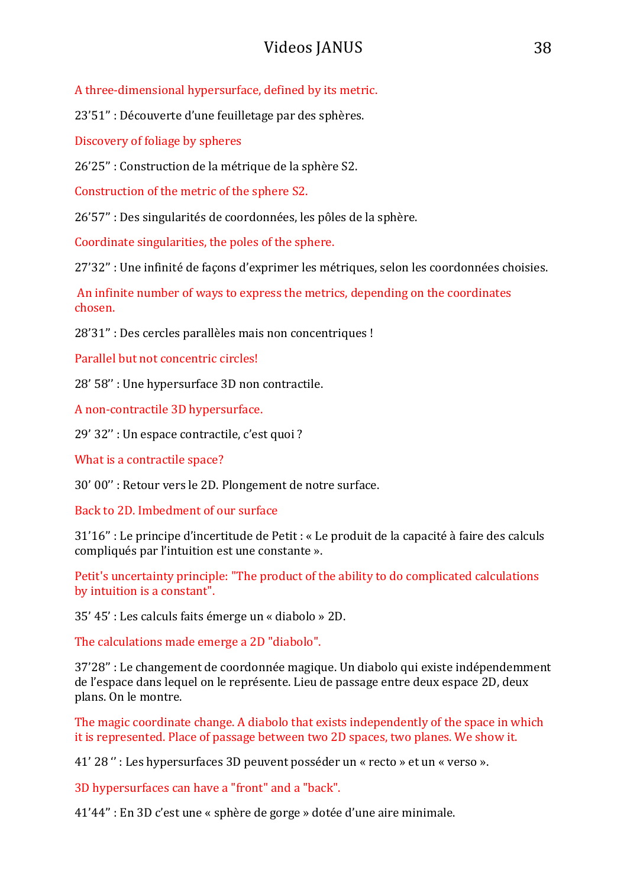A three-dimensional hypersurface, defined by its metric.

23'51" : Découverte d'une feuilletage par des sphères.

Discovery of foliage by spheres

26'25" : Construction de la métrique de la sphère S2.

Construction of the metric of the sphere S2.

26'57" : Des singularités de coordonnées, les pôles de la sphère.

Coordinate singularities, the poles of the sphere.

27'32" : Une infinité de façons d'exprimer les métriques, selon les coordonnées choisies.

An infinite number of ways to express the metrics, depending on the coordinates chosen.

28'31" : Des cercles parallèles mais non concentriques !

Parallel but not concentric circles!

28' 58" : Une hypersurface 3D non contractile.

A non-contractile 3D hypersurface.

29' 32" : Un espace contractile, c'est quoi ?

What is a contractile space?

30' 00" : Retour vers le 2D. Plongement de notre surface.

Back to 2D. Imbedment of our surface

31'16" : Le principe d'incertitude de Petit : « Le produit de la capacité à faire des calculs compliqués par l'intuition est une constante ».

Petit's uncertainty principle: "The product of the ability to do complicated calculations by intuition is a constant".

35' 45': Les calculs faits émerge un « diabolo » 2D.

The calculations made emerge a 2D "diabolo".

37'28" : Le changement de coordonnée magique. Un diabolo qui existe indépendemment de l'espace dans lequel on le représente. Lieu de passage entre deux espace 2D, deux plans. On le montre.

The magic coordinate change. A diabolo that exists independently of the space in which it is represented. Place of passage between two 2D spaces, two planes. We show it.

41' 28" : Les hypersurfaces 3D peuvent posséder un « recto » et un « verso ».

3D hypersurfaces can have a "front" and a "back".

 $41'44''$ : En 3D c'est une « sphère de gorge » dotée d'une aire minimale.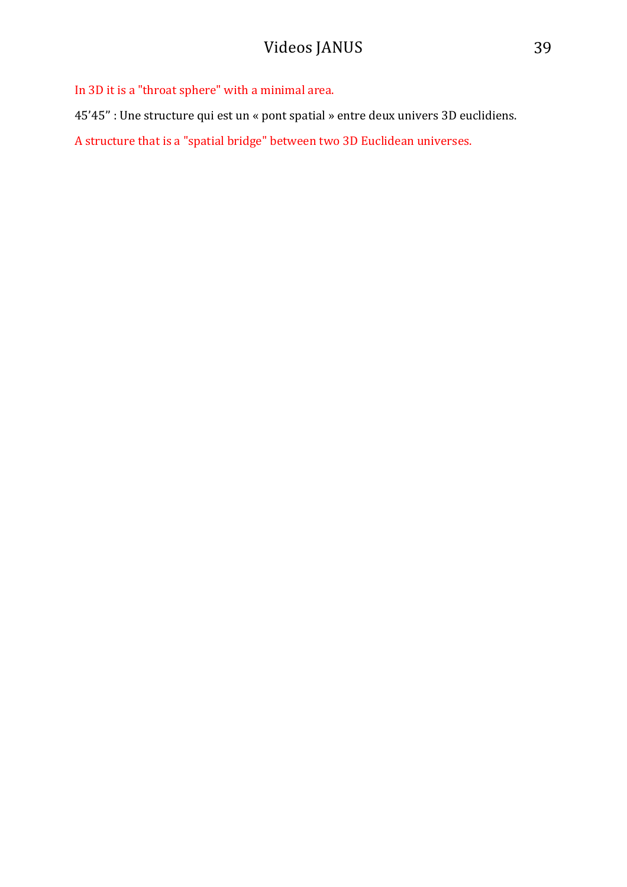In 3D it is a "throat sphere" with a minimal area.

45'45" : Une structure qui est un « pont spatial » entre deux univers 3D euclidiens.

A structure that is a "spatial bridge" between two 3D Euclidean universes.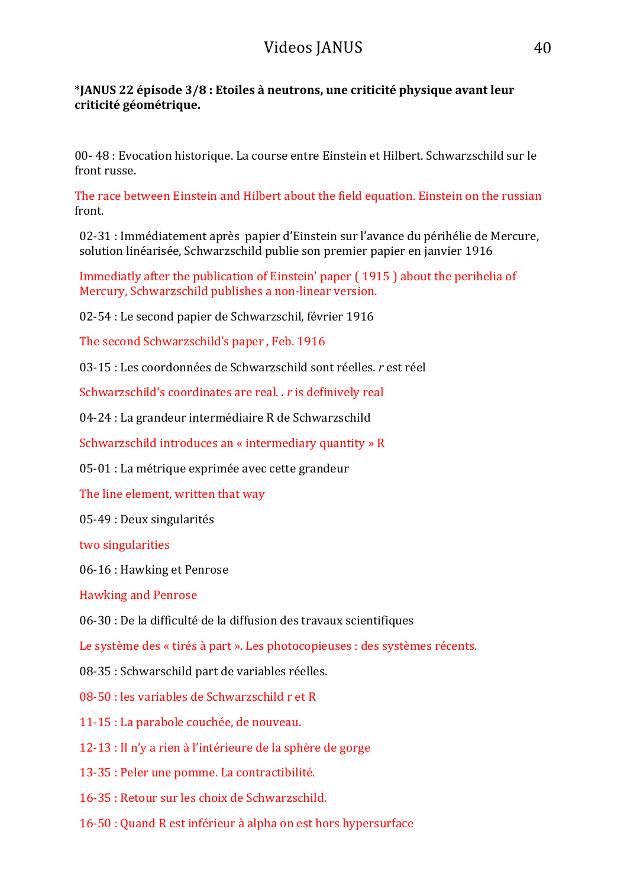#### \***JANUS 22 épisode 3/8 : Etoiles à neutrons, une criticité physique avant leur criticité géométrique.**

00- 48 : Evocation historique. La course entre Einstein et Hilbert. Schwarzschild sur le front russe.

The race between Einstein and Hilbert about the field equation. Einstein on the russian front. 

02-31 : Immédiatement après papier d'Einstein sur l'avance du périhélie de Mercure, solution linéarisée, Schwarzschild publie son premier papier en janvier 1916

Immediatly after the publication of Einstein' paper (1915) about the perihelia of Mercury, Schwarzschild publishes a non-linear version.

02-54 : Le second papier de Schwarzschil, février 1916

The second Schwarzschild's paper, Feb. 1916

03-15 : Les coordonnées de Schwarzschild sont réelles. *r* est réel

Schwarzschild's coordinates are real. *r* is definively real

04-24 : La grandeur intermédiaire R de Schwarzschild

Schwarzschild introduces an « intermediary quantity »  $R$ 

05-01 : La métrique exprimée avec cette grandeur

The line element, written that way

05-49 : Deux singularités

two singularities

06-16 : Hawking et Penrose

Hawking and Penrose

06-30 : De la difficulté de la diffusion des travaux scientifiques

Le système des « tirés à part ». Les photocopieuses : des systèmes récents.

08-35 : Schwarschild part de variables réelles.

 $08-50$ : les variables de Schwarzschild r et R

11-15 : La parabole couchée, de nouveau.

 $12-13$ : Il n'y a rien à l'intérieure de la sphère de gorge

13-35 : Peler une pomme. La contractibilité.

16-35 : Retour sur les choix de Schwarzschild.

16-50 : Quand R est inférieur à alpha on est hors hypersurface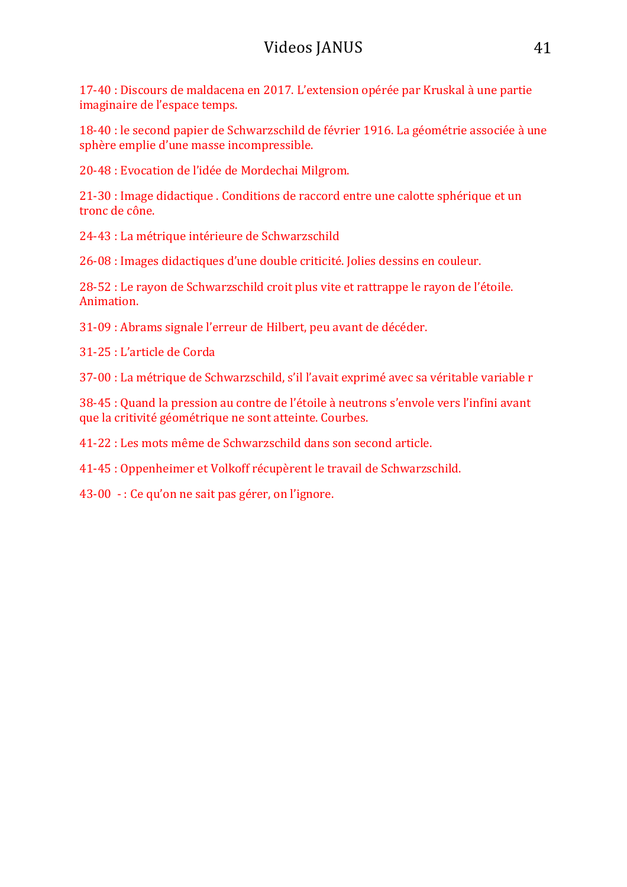17-40 : Discours de maldacena en 2017. L'extension opérée par Kruskal à une partie imaginaire de l'espace temps.

18-40 : le second papier de Schwarzschild de février 1916. La géométrie associée à une sphère emplie d'une masse incompressible.

20-48 : Evocation de l'idée de Mordechai Milgrom.

21-30 : Image didactique . Conditions de raccord entre une calotte sphérique et un tronc de cône.

24-43 : La métrique intérieure de Schwarzschild

26-08 : Images didactiques d'une double criticité. Jolies dessins en couleur.

28-52 : Le rayon de Schwarzschild croit plus vite et rattrappe le rayon de l'étoile. Animation. 

31-09 : Abrams signale l'erreur de Hilbert, peu avant de décéder.

31-25 : L'article de Corda

37-00 : La métrique de Schwarzschild, s'il l'avait exprimé avec sa véritable variable r

38-45 : Quand la pression au contre de l'étoile à neutrons s'envole vers l'infini avant que la critivité géométrique ne sont atteinte. Courbes.

41-22 : Les mots même de Schwarzschild dans son second article.

41-45 : Oppenheimer et Volkoff récupèrent le travail de Schwarzschild.

43-00  $\cdot$  : Ce qu'on ne sait pas gérer, on l'ignore.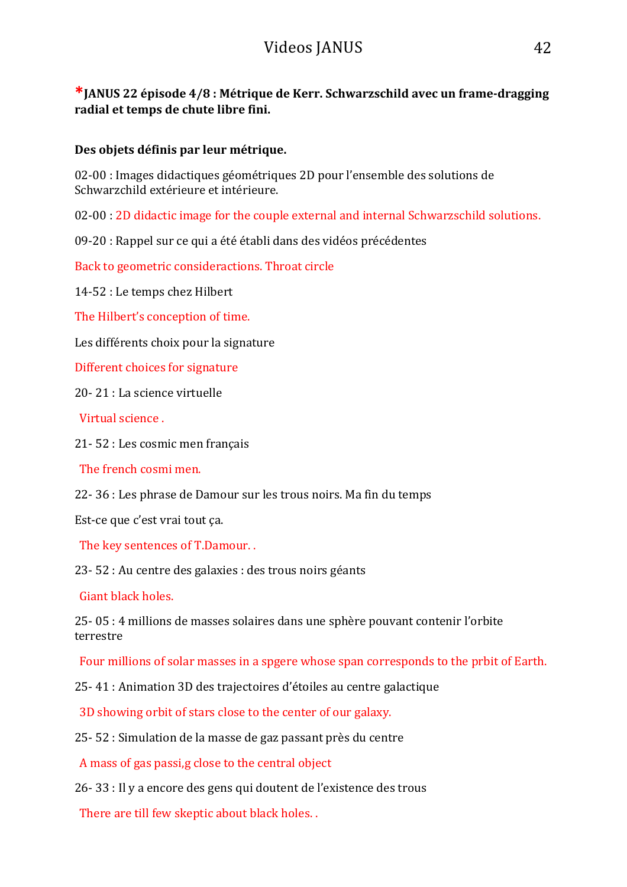**\*IANUS 22 épisode 4/8 : Métrique de Kerr. Schwarzschild avec un frame-dragging radial et temps de chute libre fini.**

#### Des objets définis par leur métrique.

02-00 : Images didactiques géométriques 2D pour l'ensemble des solutions de Schwarzchild extérieure et intérieure.

02-00 : 2D didactic image for the couple external and internal Schwarzschild solutions.

09-20 : Rappel sur ce qui a été établi dans des vidéos précédentes

Back to geometric consideractions. Throat circle

14-52 : Le temps chez Hilbert

The Hilbert's conception of time.

Les différents choix pour la signature

Different choices for signature

20-21 : La science virtuelle

Virtual science.

21-52 : Les cosmic men français

The french cosmi men.

22- 36 : Les phrase de Damour sur les trous noirs. Ma fin du temps

Est-ce que c'est vrai tout ça.

The key sentences of T.Damour...

23- 52 : Au centre des galaxies : des trous noirs géants

Giant black holes.

25- 05 : 4 millions de masses solaires dans une sphère pouvant contenir l'orbite terrestre 

Four millions of solar masses in a spgere whose span corresponds to the prbit of Earth.

25-41 : Animation 3D des trajectoires d'étoiles au centre galactique

3D showing orbit of stars close to the center of our galaxy.

 $25-52:$  Simulation de la masse de gaz passant près du centre

A mass of gas passi,g close to the central object

 $26-33$ : Il y a encore des gens qui doutent de l'existence des trous

There are till few skeptic about black holes. .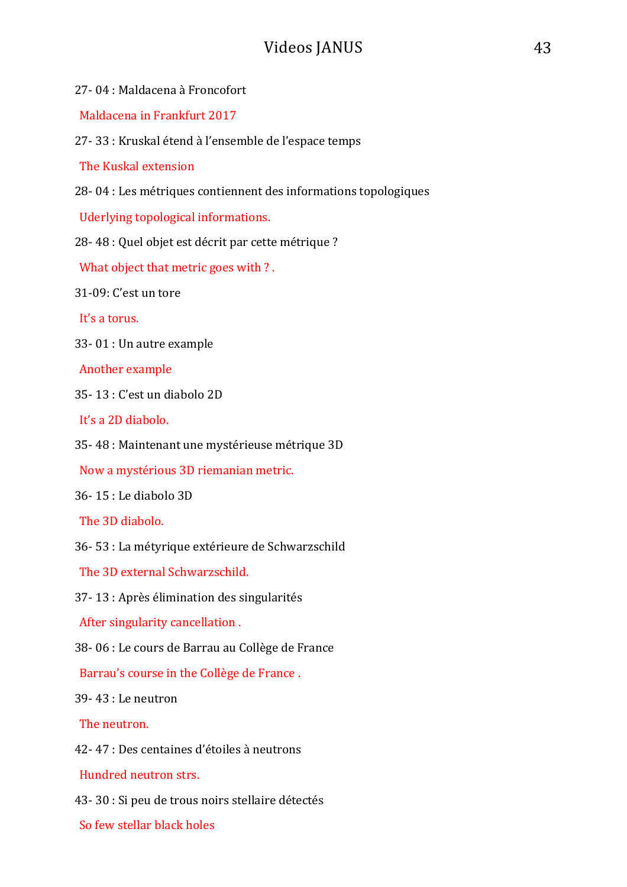| 27-04 : Maldacena à Froncofort                                  |
|-----------------------------------------------------------------|
| Maldacena in Frankfurt 2017                                     |
| 27 - 33 : Kruskal étend à l'ensemble de l'espace temps          |
| The Kuskal extension                                            |
| 28-04 : Les métriques contiennent des informations topologiques |
| Uderlying topological informations.                             |
| 28-48 : Quel objet est décrit par cette métrique ?              |
| What object that metric goes with ?.                            |
| 31-09: C'est un tore                                            |
| It's a torus.                                                   |
| 33-01 : Un autre example                                        |
| Another example                                                 |
| 35-13 : C'est un diabolo 2D                                     |
| It's a 2D diabolo.                                              |
| 35-48 : Maintenant une mystérieuse métrique 3D                  |
| Now a mystérious 3D riemanian metric.                           |
| 36-15 : Le diabolo 3D                                           |
| The 3D diabolo.                                                 |
| 36-53 : La métyrique extérieure de Schwarzschild                |
| The 3D external Schwarzschild.                                  |
| 37-13 : Après élimination des singularités                      |
| After singularity cancellation.                                 |
| 38-06 : Le cours de Barrau au Collège de France                 |
| Barrau's course in the Collège de France.                       |
| 39-43 : Le neutron                                              |
| The neutron.                                                    |
| 42-47 : Des centaines d'étoiles à neutrons                      |
| Hundred neutron strs.                                           |
| 43-30 : Si peu de trous noirs stellaire détectés                |

So few stellar black holes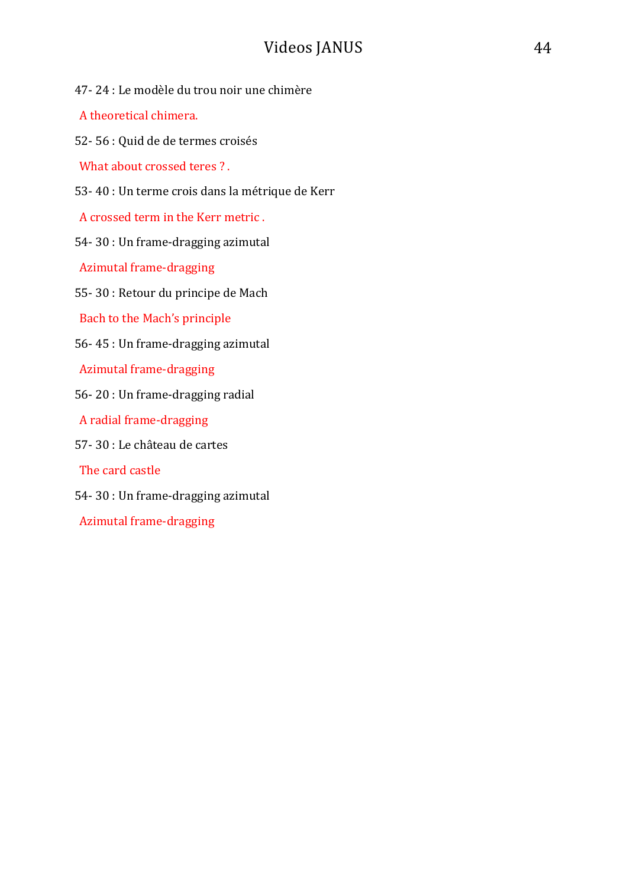- 47-24 : Le modèle du trou noir une chimère
- A theoretical chimera.
- 52- 56 : Quid de de termes croisés
- What about crossed teres ? .
- 53- 40 : Un terme crois dans la métrique de Kerr
- A crossed term in the Kerr metric.
- 54-30 : Un frame-dragging azimutal
- Azimutal frame-dragging
- 55-30 : Retour du principe de Mach
- Bach to the Mach's principle
- 56-45 : Un frame-dragging azimutal
- Azimutal frame-dragging
- 56-20: Un frame-dragging radial
- A radial frame-dragging
- 57-30 : Le château de cartes
- The card castle
- 54- 30 : Un frame-dragging azimutal
- Azimutal frame-dragging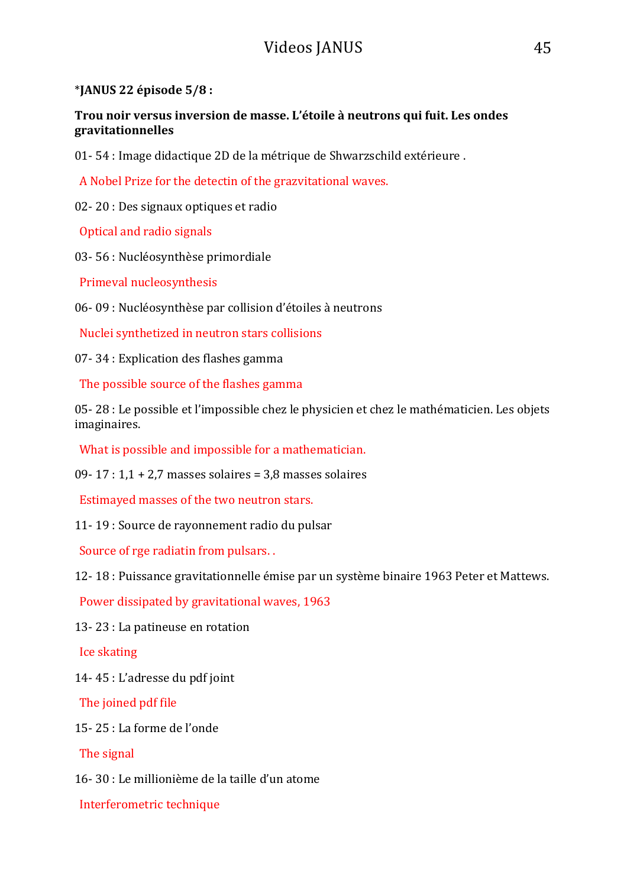#### \***JANUS 22 épisode 5/8 :**

Trou noir versus inversion de masse. L'étoile à neutrons qui fuit. Les ondes **gravitationnelles**

01- 54 : Image didactique 2D de la métrique de Shwarzschild extérieure.

A Nobel Prize for the detectin of the grazvitational waves.

02- 20 : Des signaux optiques et radio

Optical and radio signals

03-56 : Nucléosynthèse primordiale

Primeval nucleosynthesis

06- 09 : Nucléosynthèse par collision d'étoiles à neutrons

Nuclei synthetized in neutron stars collisions

07-34 : Explication des flashes gamma

The possible source of the flashes gamma

05- 28 : Le possible et l'impossible chez le physicien et chez le mathématicien. Les objets imaginaires. 

What is possible and impossible for a mathematician.

09- 17 :  $1,1 + 2,7$  masses solaires = 3,8 masses solaires

Estimayed masses of the two neutron stars.

11-19 : Source de rayonnement radio du pulsar

Source of rge radiatin from pulsars. .

12- 18 : Puissance gravitationnelle émise par un système binaire 1963 Peter et Mattews.

Power dissipated by gravitational waves, 1963

13-23 : La patineuse en rotation

Ice skating

14-45 : L'adresse du pdf joint

The joined pdf file

15- 25 : La forme de l'onde 

The signal

16- 30 : Le millionième de la taille d'un atome

Interferometric technique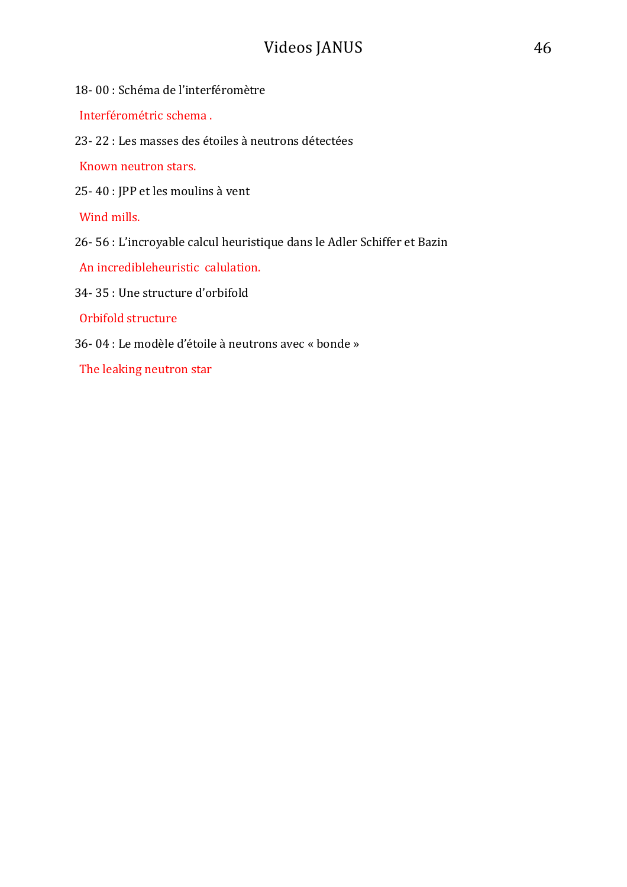- 18- 00 : Schéma de l'interféromètre
- Interférométric schema .
- 23- 22 : Les masses des étoiles à neutrons détectées

Known neutron stars.

25-40 : JPP et les moulins à vent

Wind mills.

26- 56 : L'incroyable calcul heuristique dans le Adler Schiffer et Bazin

An incredibleheuristic calulation.

34-35 : Une structure d'orbifold

Orbifold structure

36- 04 : Le modèle d'étoile à neutrons avec « bonde »

The leaking neutron star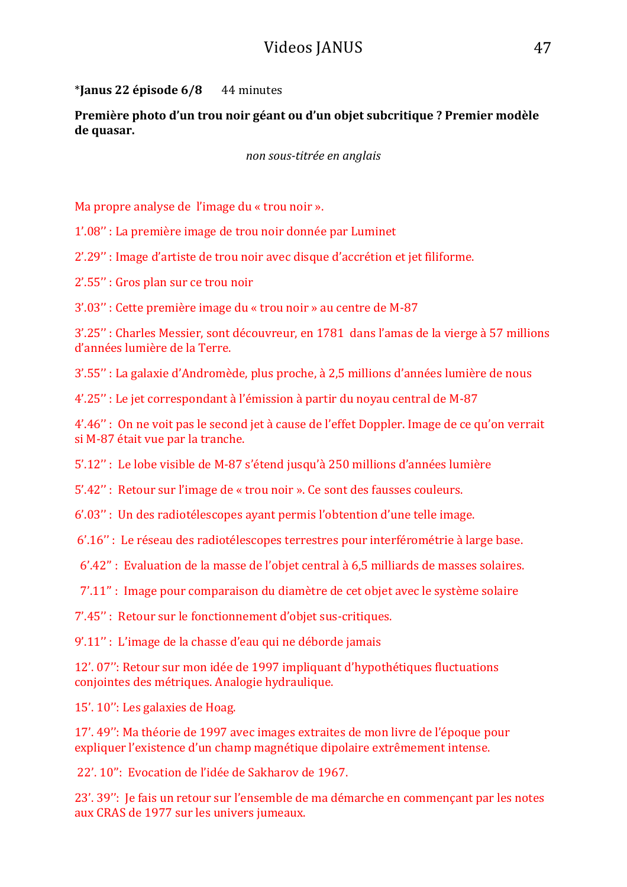\***Janus 22 épisode 6/8** 44 minutes

**Première photo d'un trou noir géant ou d'un objet subcritique ? Premier modèle** de quasar.

*non sous-titrée en anglais*

Ma propre analyse de l'image du « trou noir ».

1'.08" : La première image de trou noir donnée par Luminet

2'.29" : Image d'artiste de trou noir avec disque d'accrétion et jet filiforme.

2'.55" : Gros plan sur ce trou noir

3'.03" : Cette première image du « trou noir » au centre de M-87

3'.25" : Charles Messier, sont découvreur, en 1781 dans l'amas de la vierge à 57 millions d'années lumière de la Terre.

3'.55" : La galaxie d'Andromède, plus proche, à 2,5 millions d'années lumière de nous

4'.25" : Le jet correspondant à l'émission à partir du noyau central de M-87

4'.46" : On ne voit pas le second jet à cause de l'effet Doppler. Image de ce qu'on verrait si M-87 était vue par la tranche.

5'.12" : Le lobe visible de M-87 s'étend jusqu'à 250 millions d'années lumière

5'.42" : Retour sur l'image de « trou noir ». Ce sont des fausses couleurs.

6'.03" : Un des radiotélescopes avant permis l'obtention d'une telle image.

6'.16" : Le réseau des radiotélescopes terrestres pour interférométrie à large base.

6'.42" : Evaluation de la masse de l'objet central à 6,5 milliards de masses solaires.

7'.11" : Image pour comparaison du diamètre de cet objet avec le système solaire

7'.45" : Retour sur le fonctionnement d'objet sus-critiques.

9'.11" : L'image de la chasse d'eau qui ne déborde jamais

12'. 07": Retour sur mon idée de 1997 impliquant d'hypothétiques fluctuations conjointes des métriques. Analogie hydraulique.

15'. 10": Les galaxies de Hoag.

17'. 49": Ma théorie de 1997 avec images extraites de mon livre de l'époque pour expliquer l'existence d'un champ magnétique dipolaire extrêmement intense.

22'. 10": Evocation de l'idée de Sakharov de 1967.

23'. 39": Je fais un retour sur l'ensemble de ma démarche en commençant par les notes aux CRAS de 1977 sur les univers jumeaux.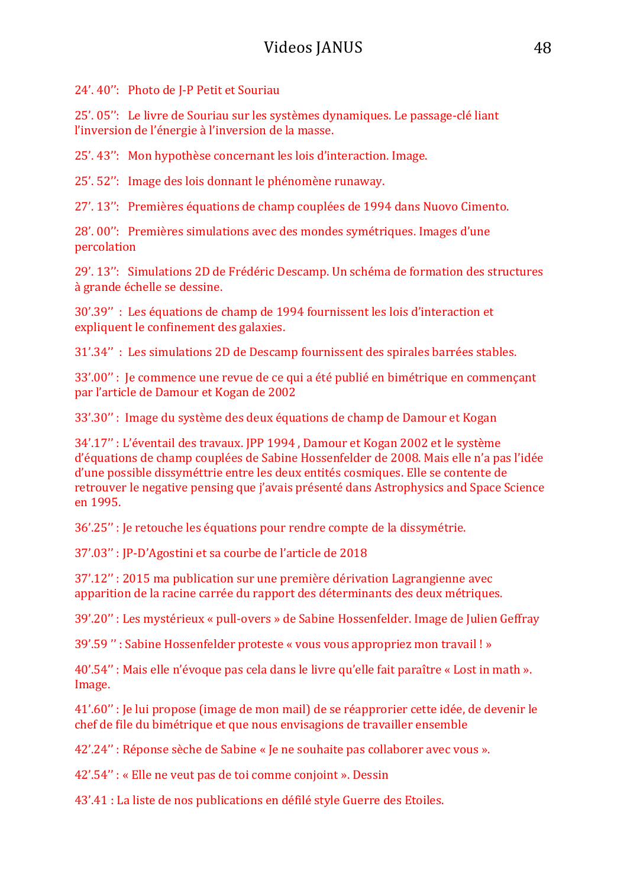24'. 40": Photo de I-P Petit et Souriau

25'. 05'': Le livre de Souriau sur les systèmes dynamiques. Le passage-clé liant l'inversion de l'énergie à l'inversion de la masse.

25'. 43": Mon hypothèse concernant les lois d'interaction. Image.

25'. 52": Image des lois donnant le phénomène runaway.

27'. 13": Premières équations de champ couplées de 1994 dans Nuovo Cimento.

28'. 00": Premières simulations avec des mondes symétriques. Images d'une percolation

29'. 13": Simulations 2D de Frédéric Descamp. Un schéma de formation des structures à grande échelle se dessine. 

30'.39" : Les équations de champ de 1994 fournissent les lois d'interaction et expliquent le confinement des galaxies.

31'.34" : Les simulations 2D de Descamp fournissent des spirales barrées stables.

33'.00" : le commence une revue de ce qui a été publié en bimétrique en commençant par l'article de Damour et Kogan de 2002

33'.30" : Image du système des deux équations de champ de Damour et Kogan

34'.17" : L'éventail des travaux. JPP 1994, Damour et Kogan 2002 et le système d'équations de champ couplées de Sabine Hossenfelder de 2008. Mais elle n'a pas l'idée d'une possible dissyméttrie entre les deux entités cosmiques. Elle se contente de retrouver le negative pensing que j'avais présenté dans Astrophysics and Space Science en 1995. 

36'.25" : Je retouche les équations pour rendre compte de la dissymétrie.

37'.03" : IP-D'Agostini et sa courbe de l'article de 2018

 $37'.12''$ :  $2015$  ma publication sur une première dérivation Lagrangienne avec apparition de la racine carrée du rapport des déterminants des deux métriques.

39'.20" : Les mystérieux « pull-overs » de Sabine Hossenfelder. Image de Julien Geffray

39'.59": Sabine Hossenfelder proteste « vous vous appropriez mon travail ! »

40'.54" : Mais elle n'évoque pas cela dans le livre qu'elle fait paraître « Lost in math ». Image. 

41'.60" : Je lui propose (image de mon mail) de se réapprorier cette idée, de devenir le chef de file du bimétrique et que nous envisagions de travailler ensemble

42'.24" : Réponse sèche de Sabine « Je ne souhaite pas collaborer avec vous ».

42'.54" : « Elle ne veut pas de toi comme conjoint ». Dessin

43'.41 : La liste de nos publications en défilé style Guerre des Etoiles.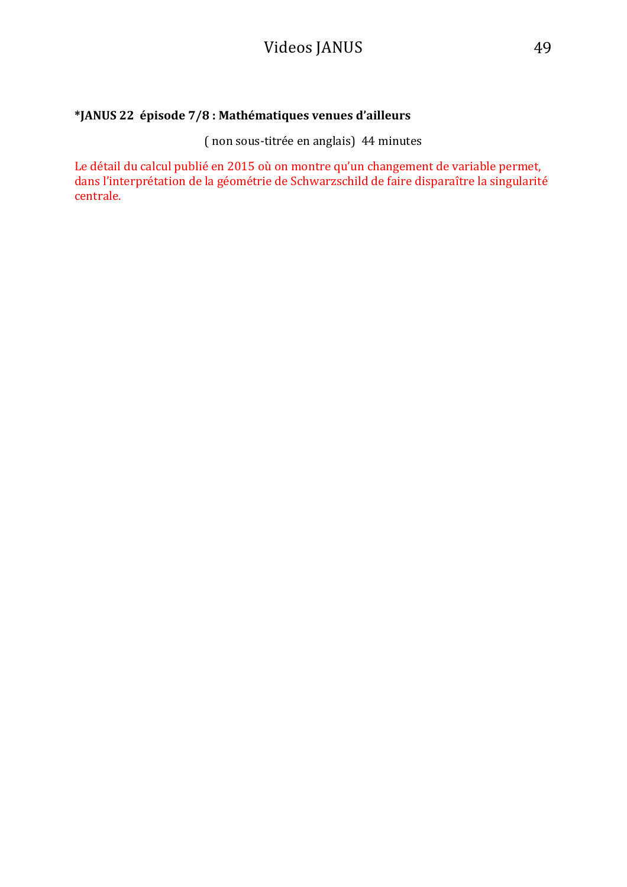### **\*JANUS 22 épisode 7/8 : Mathématiques venues d'ailleurs**

(non sous-titrée en anglais) 44 minutes

Le détail du calcul publié en 2015 où on montre qu'un changement de variable permet, dans l'interprétation de la géométrie de Schwarzschild de faire disparaître la singularité centrale.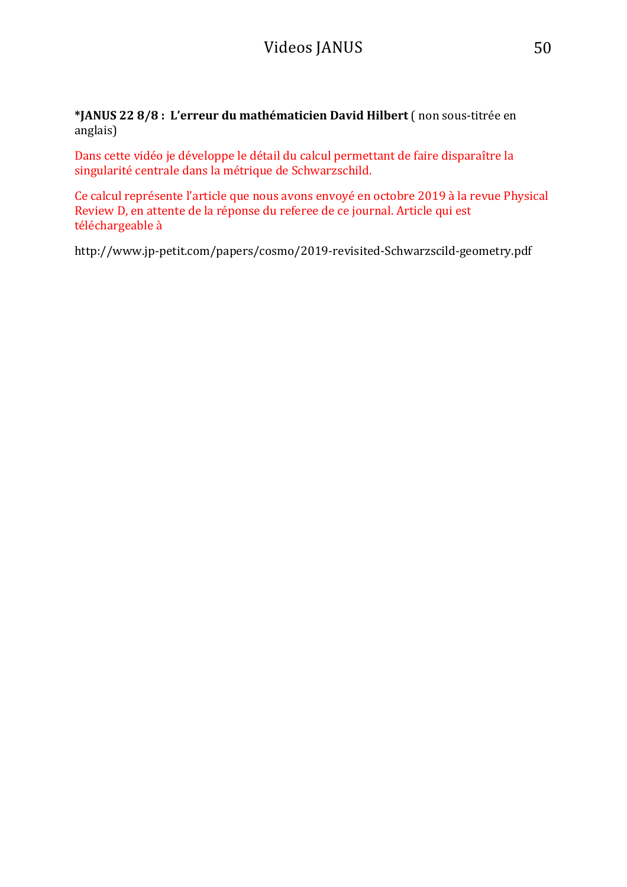\*JANUS 22 8/8 : L'erreur du mathématicien David Hilbert (non sous-titrée en anglais) 

Dans cette vidéo je développe le détail du calcul permettant de faire disparaître la singularité centrale dans la métrique de Schwarzschild.

Ce calcul représente l'article que nous avons envoyé en octobre 2019 à la revue Physical Review D, en attente de la réponse du referee de ce journal. Article qui est téléchargeable à

http://www.jp-petit.com/papers/cosmo/2019-revisited-Schwarzscild-geometry.pdf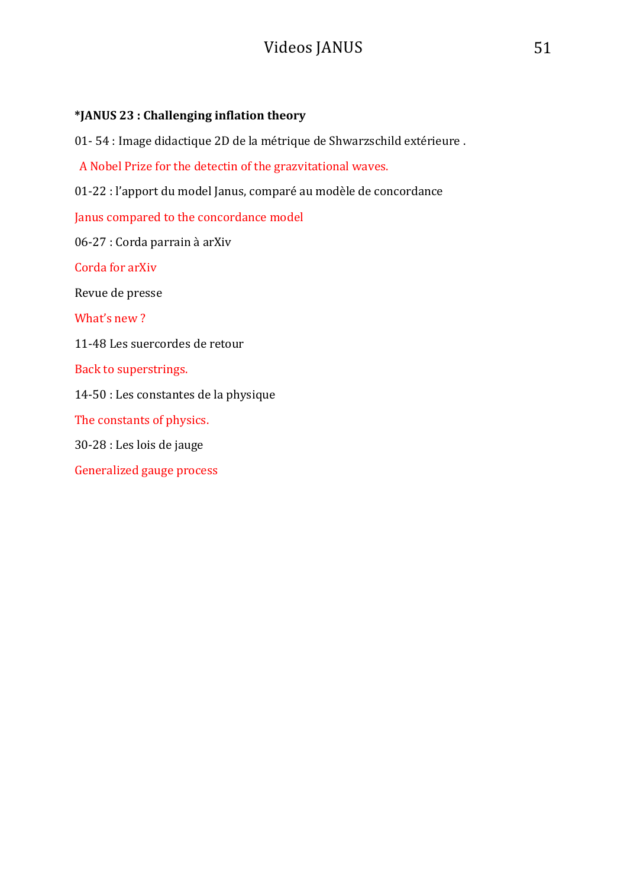### **\*JANUS 23 : Challenging inflation theory**

01- 54 : Image didactique 2D de la métrique de Shwarzschild extérieure .

A Nobel Prize for the detectin of the grazvitational waves.

01-22 : l'apport du model Janus, comparé au modèle de concordance

Janus compared to the concordance model

06-27 : Corda parrain à arXiv

Corda for arXiv

Revue de presse

What's new ?

11-48 Les suercordes de retour

Back to superstrings.

14-50 : Les constantes de la physique

The constants of physics.

30-28 : Les lois de jauge

Generalized gauge process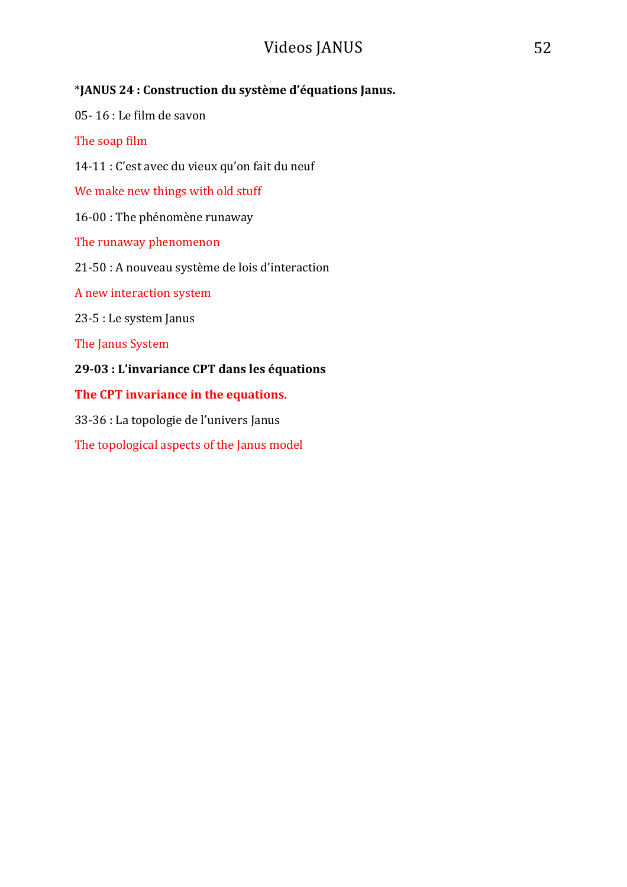### \***JANUS 24 : Construction du système d'équations Janus.**

 $05-16$ : Le film de savon

The soap film

14-11 : C'est avec du vieux qu'on fait du neuf

We make new things with old stuff

16-00 : The phénomène runaway

The runaway phenomenon

21-50 : A nouveau système de lois d'interaction

A new interaction system

23-5 : Le system Janus

The Janus System

### **29-03 : L'invariance CPT dans les équations**

The CPT invariance in the equations.

33-36 : La topologie de l'univers Janus

The topological aspects of the Janus model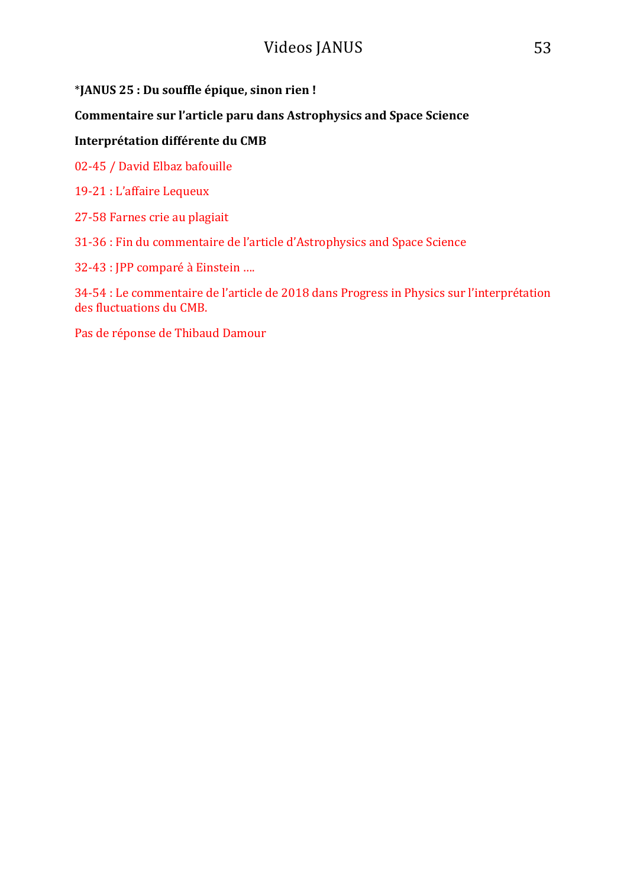### \***JANUS 25 : Du souffle épique, sinon rien !**

### **Commentaire sur l'article paru dans Astrophysics and Space Science**

### **Interprétation différente du CMB**

02-45 / David Elbaz bafouille

- 19-21 : L'affaire Lequeux
- 27-58 Farnes crie au plagiait

31-36 : Fin du commentaire de l'article d'Astrophysics and Space Science

32-43 : JPP comparé à Einstein ....

34-54 : Le commentaire de l'article de 2018 dans Progress in Physics sur l'interprétation des fluctuations du CMB.

Pas de réponse de Thibaud Damour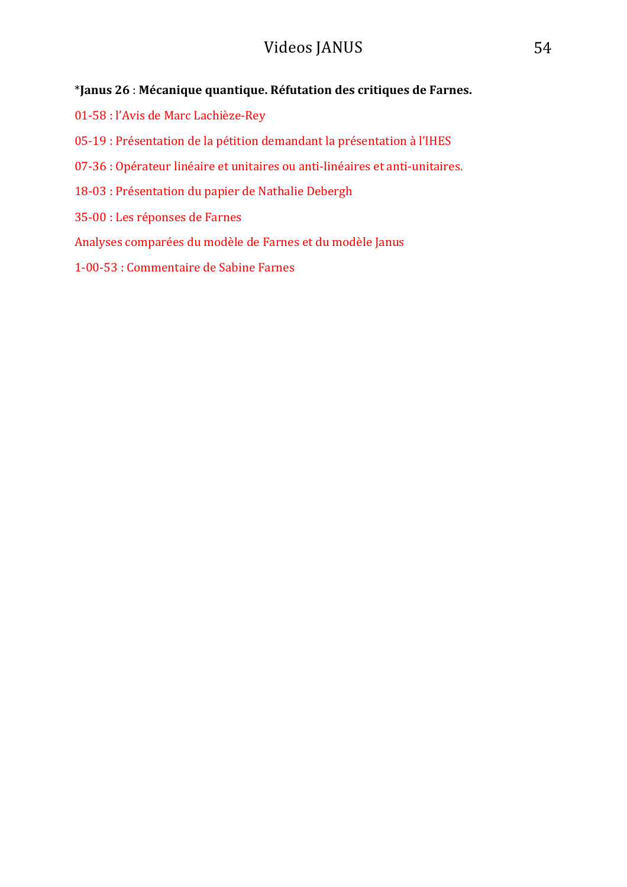### \*Janus 26 : Mécanique quantique. Réfutation des critiques de Farnes.

- 01-58 : l'Avis de Marc Lachièze-Rey
- 05-19 : Présentation de la pétition demandant la présentation à l'IHES
- 07-36 : Opérateur linéaire et unitaires ou anti-linéaires et anti-unitaires.
- 18-03 : Présentation du papier de Nathalie Debergh
- 35-00 : Les réponses de Farnes
- Analyses comparées du modèle de Farnes et du modèle Janus
- 1-00-53 : Commentaire de Sabine Farnes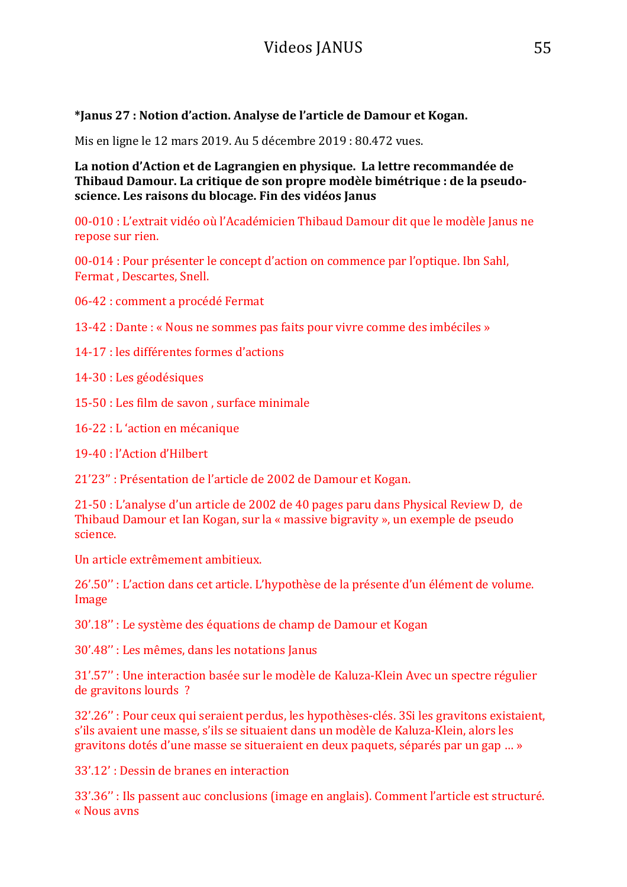**\*Janus 27 : Notion d'action. Analyse de l'article de Damour et Kogan.** 

Mis en ligne le 12 mars 2019. Au 5 décembre 2019 : 80.472 vues.

La notion d'Action et de Lagrangien en physique. La lettre recommandée de **Thibaud Damour.** La critique de son propre modèle bimétrique : de la pseudoscience. Les raisons du blocage. Fin des vidéos Janus

00-010 : L'extrait vidéo où l'Académicien Thibaud Damour dit que le modèle Janus ne repose sur rien.

00-014 : Pour présenter le concept d'action on commence par l'optique. Ibn Sahl, Fermat, Descartes, Snell.

06-42 : comment a procédé Fermat

13-42 : Dante : « Nous ne sommes pas faits pour vivre comme des imbéciles »

14-17 : les différentes formes d'actions

14-30 : Les géodésiques

15-50 : Les film de savon, surface minimale

16-22 : L'action en mécanique

19-40 : l'Action d'Hilbert

21'23" : Présentation de l'article de 2002 de Damour et Kogan.

 $21-50:$  L'analyse d'un article de  $2002$  de 40 pages paru dans Physical Review D, de Thibaud Damour et Ian Kogan, sur la « massive bigravity », un exemple de pseudo science. 

Un article extrêmement ambitieux.

26'.50" : L'action dans cet article. L'hypothèse de la présente d'un élément de volume. Image

30'.18" : Le système des équations de champ de Damour et Kogan

30'.48" : Les mêmes, dans les notations Janus

31'.57" : Une interaction basée sur le modèle de Kaluza-Klein Avec un spectre régulier de gravitons lourds ?

32'.26" : Pour ceux qui seraient perdus, les hypothèses-clés. 3Si les gravitons existaient, s'ils avaient une masse, s'ils se situaient dans un modèle de Kaluza-Klein, alors les gravitons dotés d'une masse se situeraient en deux paquets, séparés par un gap ... »

33'.12': Dessin de branes en interaction

33'.36" : Ils passent auc conclusions (image en anglais). Comment l'article est structuré. « Nous avns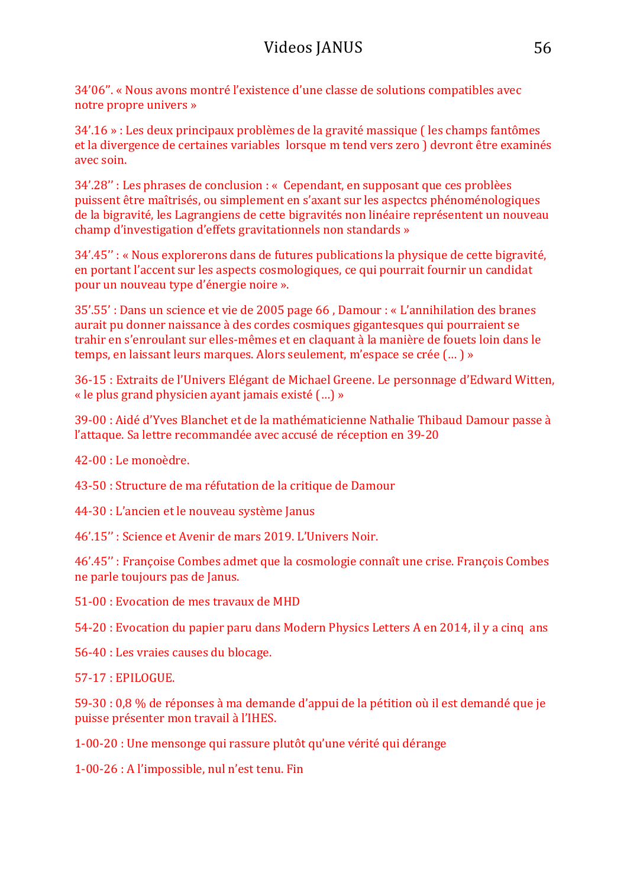34'06". « Nous avons montré l'existence d'une classe de solutions compatibles avec notre propre univers »

34'.16 » : Les deux principaux problèmes de la gravité massique ( les champs fantômes et la divergence de certaines variables lorsque m tend vers zero ) devront être examinés avec soin. 

34'.28" : Les phrases de conclusion : « Cependant, en supposant que ces problèes puissent être maîtrisés, ou simplement en s'axant sur les aspectcs phénoménologiques de la bigravité, les Lagrangiens de cette bigravités non linéaire représentent un nouveau champ d'investigation d'effets gravitationnels non standards »

34'.45" : « Nous explorerons dans de futures publications la physique de cette bigravité, en portant l'accent sur les aspects cosmologiques, ce qui pourrait fournir un candidat pour un nouveau type d'énergie noire ».

35'.55': Dans un science et vie de 2005 page 66, Damour : « L'annihilation des branes aurait pu donner naissance à des cordes cosmiques gigantesques qui pourraient se trahir en s'enroulant sur elles-mêmes et en claquant à la manière de fouets loin dans le temps, en laissant leurs marques. Alors seulement, m'espace se crée (...) »

36-15 : Extraits de l'Univers Elégant de Michael Greene. Le personnage d'Edward Witten, « le plus grand physicien ayant jamais existé  $(...)$  »

39-00 : Aidé d'Yves Blanchet et de la mathématicienne Nathalie Thibaud Damour passe à l'attaque. Sa lettre recommandée avec accusé de réception en 39-20

42-00 : Le monoèdre.

43-50 : Structure de ma réfutation de la critique de Damour

44-30 : L'ancien et le nouveau système Janus

46'.15" : Science et Avenir de mars 2019. L'Univers Noir.

46'.45" : Françoise Combes admet que la cosmologie connaît une crise. François Combes ne parle toujours pas de Janus.

51-00 : Evocation de mes travaux de MHD

54-20 : Evocation du papier paru dans Modern Physics Letters A en 2014, il y a cinq ans

56-40 : Les vraies causes du blocage.

57-17 : EPILOGUE.

59-30 : 0,8 % de réponses à ma demande d'appui de la pétition où il est demandé que je puisse présenter mon travail à l'IHES.

1-00-20 : Une mensonge qui rassure plutôt qu'une vérité qui dérange

1-00-26 : A l'impossible, nul n'est tenu. Fin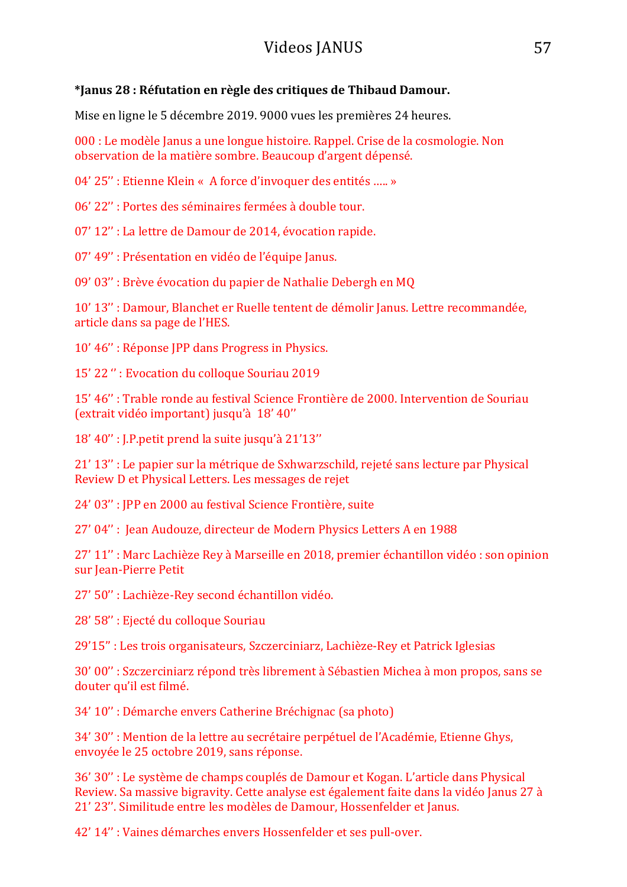#### \*Ianus 28 : Réfutation en règle des critiques de Thibaud Damour.

Mise en ligne le 5 décembre 2019. 9000 vues les premières 24 heures.

000 : Le modèle Janus a une longue histoire. Rappel. Crise de la cosmologie. Non observation de la matière sombre. Beaucoup d'argent dépensé.

04' 25" : Etienne Klein « A force d'invoquer des entités ..... »

06' 22" : Portes des séminaires fermées à double tour.

07' 12" : La lettre de Damour de 2014, évocation rapide.

07' 49" : Présentation en vidéo de l'équipe Janus.

09' 03" : Brève évocation du papier de Nathalie Debergh en MO

10' 13" : Damour, Blanchet er Ruelle tentent de démolir Janus. Lettre recommandée, article dans sa page de l'HES.

10' 46" : Réponse JPP dans Progress in Physics.

15' 22": Evocation du colloque Souriau 2019

15' 46" : Trable ronde au festival Science Frontière de 2000. Intervention de Souriau (extrait vidéo important) jusqu'à 18' 40"

18' 40" : J.P.petit prend la suite jusqu'à 21'13"

21' 13" : Le papier sur la métrique de Sxhwarzschild, rejeté sans lecture par Physical Review D et Physical Letters. Les messages de rejet

24' 03" : JPP en 2000 au festival Science Frontière, suite

27' 04" : Jean Audouze, directeur de Modern Physics Letters A en 1988

27' 11" : Marc Lachièze Rey à Marseille en 2018, premier échantillon vidéo : son opinion sur Jean-Pierre Petit

27' 50" : Lachièze-Rey second échantillon vidéo.

28' 58" : Ejecté du colloque Souriau

29'15" : Les trois organisateurs, Szczerciniarz, Lachièze-Rey et Patrick Iglesias

30' 00" : Szczerciniarz répond très librement à Sébastien Michea à mon propos, sans se douter qu'il est filmé.

34' 10" : Démarche envers Catherine Bréchignac (sa photo)

34' 30" : Mention de la lettre au secrétaire perpétuel de l'Académie, Etienne Ghys, envoyée le 25 octobre 2019, sans réponse.

36' 30" : Le système de champs couplés de Damour et Kogan. L'article dans Physical Review. Sa massive bigravity. Cette analyse est également faite dans la vidéo Janus 27 à 21' 23". Similitude entre les modèles de Damour, Hossenfelder et Janus.

42' 14" : Vaines démarches envers Hossenfelder et ses pull-over.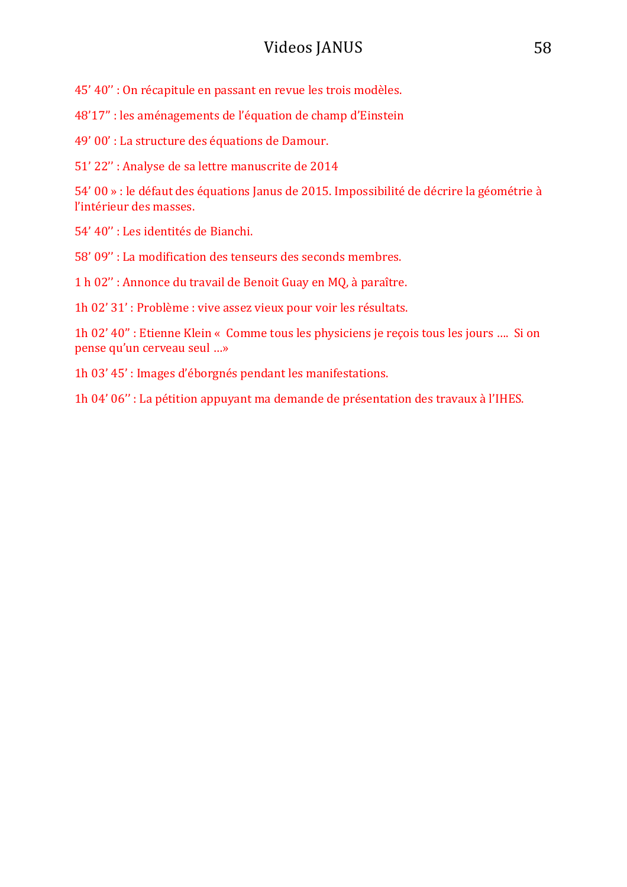45' 40" : On récapitule en passant en revue les trois modèles.

48'17" : les aménagements de l'équation de champ d'Einstein

49' 00' : La structure des équations de Damour.

51' 22" : Analyse de sa lettre manuscrite de 2014

54' 00 » : le défaut des équations Janus de 2015. Impossibilité de décrire la géométrie à l'intérieur des masses.

54' 40" : Les identités de Bianchi.

58' 09" : La modification des tenseurs des seconds membres.

1 h 02" : Annonce du travail de Benoit Guay en MQ, à paraître.

1h 02' 31' : Problème : vive assez vieux pour voir les résultats.

1h 02' 40" : Etienne Klein « Comme tous les physiciens je reçois tous les jours .... Si on pense qu'un cerveau seul ...»

1h 03' 45': Images d'éborgnés pendant les manifestations.

1h 04' 06" : La pétition appuyant ma demande de présentation des travaux à l'IHES.